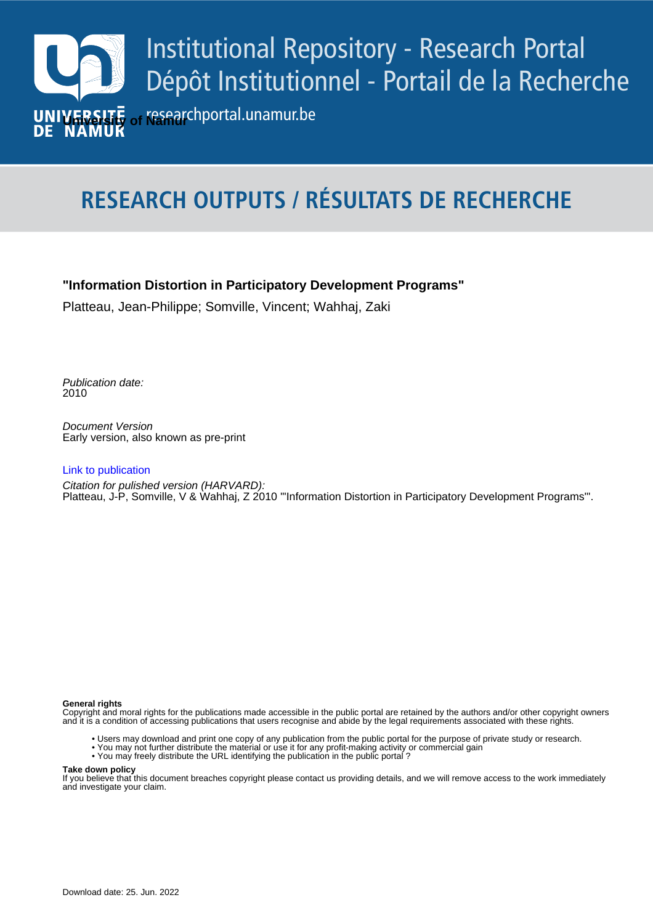

# **RESEARCH OUTPUTS / RÉSULTATS DE RECHERCHE**

## **"Information Distortion in Participatory Development Programs"**

Platteau, Jean-Philippe; Somville, Vincent; Wahhaj, Zaki

Publication date:<br><sup>2010</sup> 2010

> Document Version Early version, also known as pre-print

#### [Link to publication](https://researchportal.unamur.be/en/publications/01ef1a94-9966-4763-9afc-0d89b3b5935d)

**Publication date - Date de publication :** Citation for pulished version (HARVARD): Platteau, J-P, Somville, V & Wahhaj, Z 2010 "Information Distortion in Participatory Development Programs".

#### **General rights**

Copyright and moral rights for the publications made accessible in the public portal are retained by the authors and/or other copyright owners and it is a condition of accessing publications that users recognise and abide by the legal requirements associated with these rights.

- Users may download and print one copy of any publication from the public portal for the purpose of private study or research.
- You may not further distribute the material or use it for any profit-making activity or commercial gain
- You may freely distribute the URL identifying the publication in the public portal ?

#### **Take down policy**

If you believe that this document breaches copyright please contact us providing details, and we will remove access to the work immediately and investigate your claim.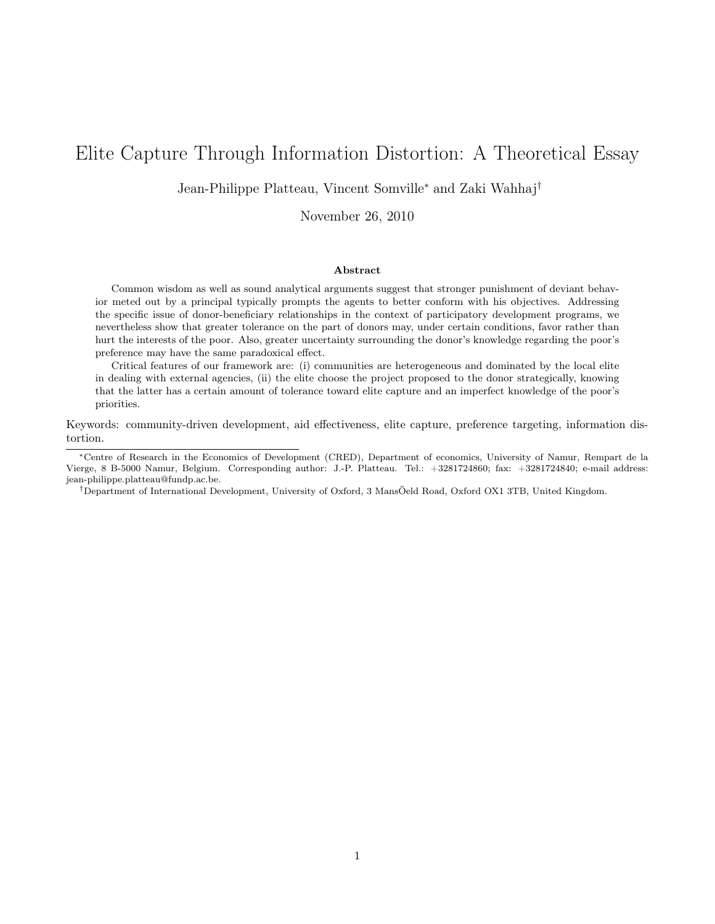# Elite Capture Through Information Distortion: A Theoretical Essay

Jean-Philippe Platteau, Vincent Somville<sup>∗</sup> and Zaki Wahhaj†

November 26, 2010

#### Abstract

Common wisdom as well as sound analytical arguments suggest that stronger punishment of deviant behavior meted out by a principal typically prompts the agents to better conform with his objectives. Addressing the specific issue of donor-beneficiary relationships in the context of participatory development programs, we nevertheless show that greater tolerance on the part of donors may, under certain conditions, favor rather than hurt the interests of the poor. Also, greater uncertainty surrounding the donor's knowledge regarding the poor's preference may have the same paradoxical effect.

Critical features of our framework are: (i) communities are heterogeneous and dominated by the local elite in dealing with external agencies, (ii) the elite choose the project proposed to the donor strategically, knowing that the latter has a certain amount of tolerance toward elite capture and an imperfect knowledge of the poor's priorities.

Keywords: community-driven development, aid effectiveness, elite capture, preference targeting, information distortion.

<sup>∗</sup>Centre of Research in the Economics of Development (CRED), Department of economics, University of Namur, Rempart de la Vierge, 8 B-5000 Namur, Belgium. Corresponding author: J.-P. Platteau. Tel.: +3281724860; fax: +3281724840; e-mail address: jean-philippe.platteau@fundp.ac.be.

<sup>†</sup>Department of International Development, University of Oxford, 3 MansÖeld Road, Oxford OX1 3TB, United Kingdom.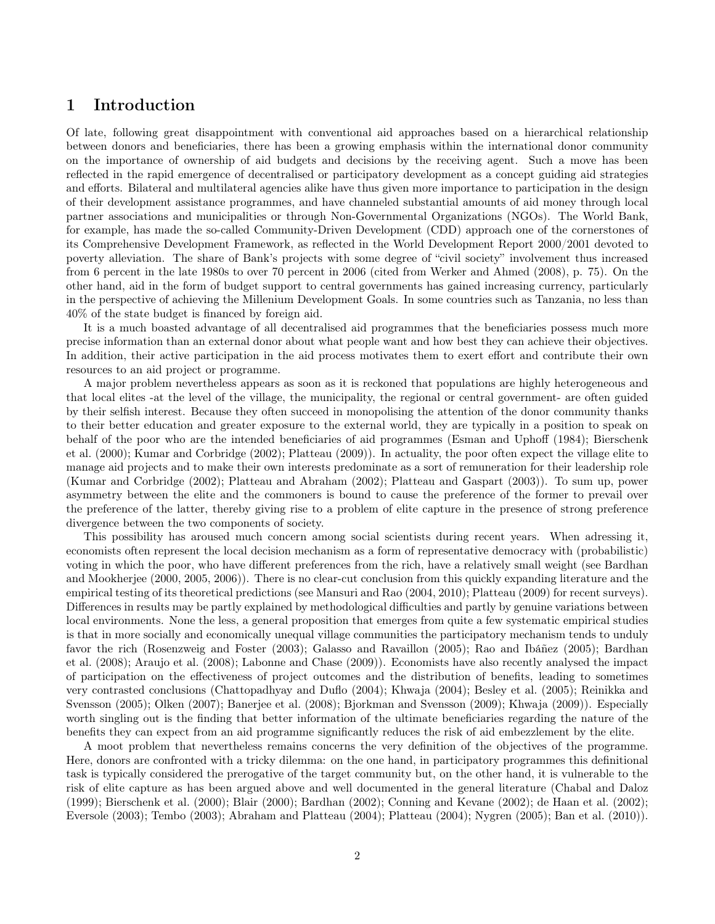# 1 Introduction

Of late, following great disappointment with conventional aid approaches based on a hierarchical relationship between donors and beneficiaries, there has been a growing emphasis within the international donor community on the importance of ownership of aid budgets and decisions by the receiving agent. Such a move has been reflected in the rapid emergence of decentralised or participatory development as a concept guiding aid strategies and efforts. Bilateral and multilateral agencies alike have thus given more importance to participation in the design of their development assistance programmes, and have channeled substantial amounts of aid money through local partner associations and municipalities or through Non-Governmental Organizations (NGOs). The World Bank, for example, has made the so-called Community-Driven Development (CDD) approach one of the cornerstones of its Comprehensive Development Framework, as reflected in the World Development Report 2000/2001 devoted to poverty alleviation. The share of Bank's projects with some degree of "civil society" involvement thus increased from 6 percent in the late 1980s to over 70 percent in 2006 (cited from Werker and Ahmed (2008), p. 75). On the other hand, aid in the form of budget support to central governments has gained increasing currency, particularly in the perspective of achieving the Millenium Development Goals. In some countries such as Tanzania, no less than 40% of the state budget is financed by foreign aid.

It is a much boasted advantage of all decentralised aid programmes that the beneficiaries possess much more precise information than an external donor about what people want and how best they can achieve their objectives. In addition, their active participation in the aid process motivates them to exert effort and contribute their own resources to an aid project or programme.

A major problem nevertheless appears as soon as it is reckoned that populations are highly heterogeneous and that local elites -at the level of the village, the municipality, the regional or central government- are often guided by their selfish interest. Because they often succeed in monopolising the attention of the donor community thanks to their better education and greater exposure to the external world, they are typically in a position to speak on behalf of the poor who are the intended beneficiaries of aid programmes (Esman and Uphoff (1984); Bierschenk et al. (2000); Kumar and Corbridge (2002); Platteau (2009)). In actuality, the poor often expect the village elite to manage aid projects and to make their own interests predominate as a sort of remuneration for their leadership role (Kumar and Corbridge (2002); Platteau and Abraham (2002); Platteau and Gaspart (2003)). To sum up, power asymmetry between the elite and the commoners is bound to cause the preference of the former to prevail over the preference of the latter, thereby giving rise to a problem of elite capture in the presence of strong preference divergence between the two components of society.

This possibility has aroused much concern among social scientists during recent years. When adressing it, economists often represent the local decision mechanism as a form of representative democracy with (probabilistic) voting in which the poor, who have different preferences from the rich, have a relatively small weight (see Bardhan and Mookherjee (2000, 2005, 2006)). There is no clear-cut conclusion from this quickly expanding literature and the empirical testing of its theoretical predictions (see Mansuri and Rao (2004, 2010); Platteau (2009) for recent surveys). Differences in results may be partly explained by methodological difficulties and partly by genuine variations between local environments. None the less, a general proposition that emerges from quite a few systematic empirical studies is that in more socially and economically unequal village communities the participatory mechanism tends to unduly favor the rich (Rosenzweig and Foster (2003); Galasso and Ravaillon (2005); Rao and Ibáñez (2005); Bardhan et al. (2008); Araujo et al. (2008); Labonne and Chase (2009)). Economists have also recently analysed the impact of participation on the effectiveness of project outcomes and the distribution of benefits, leading to sometimes very contrasted conclusions (Chattopadhyay and Duflo (2004); Khwaja (2004); Besley et al. (2005); Reinikka and Svensson (2005); Olken (2007); Banerjee et al. (2008); Bjorkman and Svensson (2009); Khwaja (2009)). Especially worth singling out is the finding that better information of the ultimate beneficiaries regarding the nature of the benefits they can expect from an aid programme significantly reduces the risk of aid embezzlement by the elite.

A moot problem that nevertheless remains concerns the very definition of the objectives of the programme. Here, donors are confronted with a tricky dilemma: on the one hand, in participatory programmes this definitional task is typically considered the prerogative of the target community but, on the other hand, it is vulnerable to the risk of elite capture as has been argued above and well documented in the general literature (Chabal and Daloz (1999); Bierschenk et al. (2000); Blair (2000); Bardhan (2002); Conning and Kevane (2002); de Haan et al. (2002); Eversole (2003); Tembo (2003); Abraham and Platteau (2004); Platteau (2004); Nygren (2005); Ban et al. (2010)).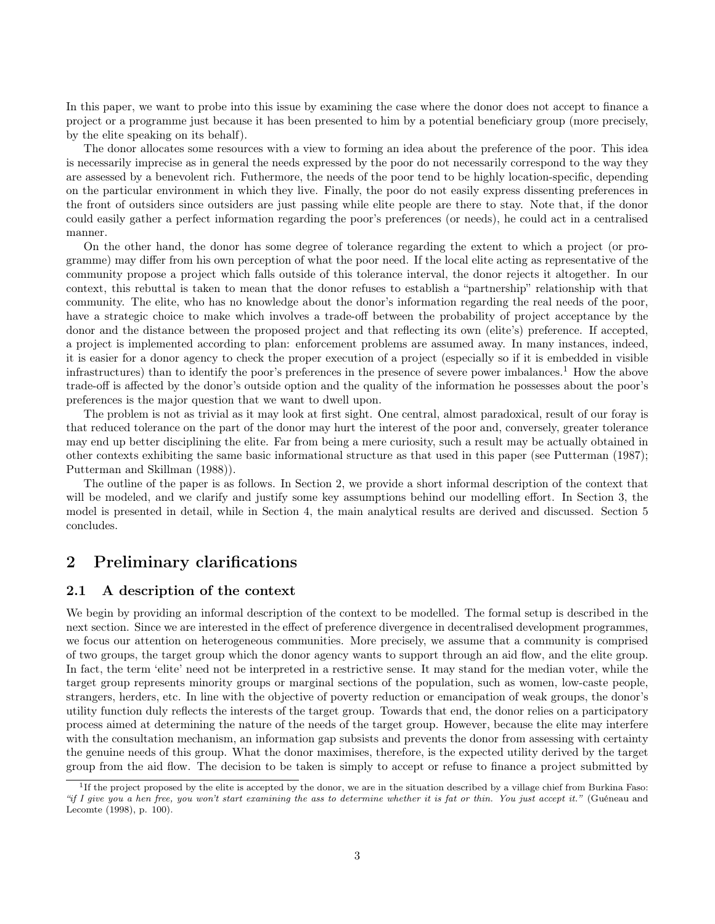In this paper, we want to probe into this issue by examining the case where the donor does not accept to finance a project or a programme just because it has been presented to him by a potential beneficiary group (more precisely, by the elite speaking on its behalf).

The donor allocates some resources with a view to forming an idea about the preference of the poor. This idea is necessarily imprecise as in general the needs expressed by the poor do not necessarily correspond to the way they are assessed by a benevolent rich. Futhermore, the needs of the poor tend to be highly location-specific, depending on the particular environment in which they live. Finally, the poor do not easily express dissenting preferences in the front of outsiders since outsiders are just passing while elite people are there to stay. Note that, if the donor could easily gather a perfect information regarding the poor's preferences (or needs), he could act in a centralised manner.

On the other hand, the donor has some degree of tolerance regarding the extent to which a project (or programme) may differ from his own perception of what the poor need. If the local elite acting as representative of the community propose a project which falls outside of this tolerance interval, the donor rejects it altogether. In our context, this rebuttal is taken to mean that the donor refuses to establish a "partnership" relationship with that community. The elite, who has no knowledge about the donor's information regarding the real needs of the poor, have a strategic choice to make which involves a trade-off between the probability of project acceptance by the donor and the distance between the proposed project and that reflecting its own (elite's) preference. If accepted, a project is implemented according to plan: enforcement problems are assumed away. In many instances, indeed, it is easier for a donor agency to check the proper execution of a project (especially so if it is embedded in visible infrastructures) than to identify the poor's preferences in the presence of severe power imbalances.<sup>1</sup> How the above trade-off is affected by the donor's outside option and the quality of the information he possesses about the poor's preferences is the major question that we want to dwell upon.

The problem is not as trivial as it may look at first sight. One central, almost paradoxical, result of our foray is that reduced tolerance on the part of the donor may hurt the interest of the poor and, conversely, greater tolerance may end up better disciplining the elite. Far from being a mere curiosity, such a result may be actually obtained in other contexts exhibiting the same basic informational structure as that used in this paper (see Putterman (1987); Putterman and Skillman (1988)).

The outline of the paper is as follows. In Section 2, we provide a short informal description of the context that will be modeled, and we clarify and justify some key assumptions behind our modelling effort. In Section 3, the model is presented in detail, while in Section 4, the main analytical results are derived and discussed. Section 5 concludes.

## 2 Preliminary clarifications

#### 2.1 A description of the context

We begin by providing an informal description of the context to be modelled. The formal setup is described in the next section. Since we are interested in the effect of preference divergence in decentralised development programmes, we focus our attention on heterogeneous communities. More precisely, we assume that a community is comprised of two groups, the target group which the donor agency wants to support through an aid flow, and the elite group. In fact, the term 'elite' need not be interpreted in a restrictive sense. It may stand for the median voter, while the target group represents minority groups or marginal sections of the population, such as women, low-caste people, strangers, herders, etc. In line with the objective of poverty reduction or emancipation of weak groups, the donor's utility function duly reflects the interests of the target group. Towards that end, the donor relies on a participatory process aimed at determining the nature of the needs of the target group. However, because the elite may interfere with the consultation mechanism, an information gap subsists and prevents the donor from assessing with certainty the genuine needs of this group. What the donor maximises, therefore, is the expected utility derived by the target group from the aid flow. The decision to be taken is simply to accept or refuse to finance a project submitted by

<sup>&</sup>lt;sup>1</sup>If the project proposed by the elite is accepted by the donor, we are in the situation described by a village chief from Burkina Faso: "if I give you a hen free, you won't start examining the ass to determine whether it is fat or thin. You just accept it." (Guéneau and Lecomte (1998), p. 100).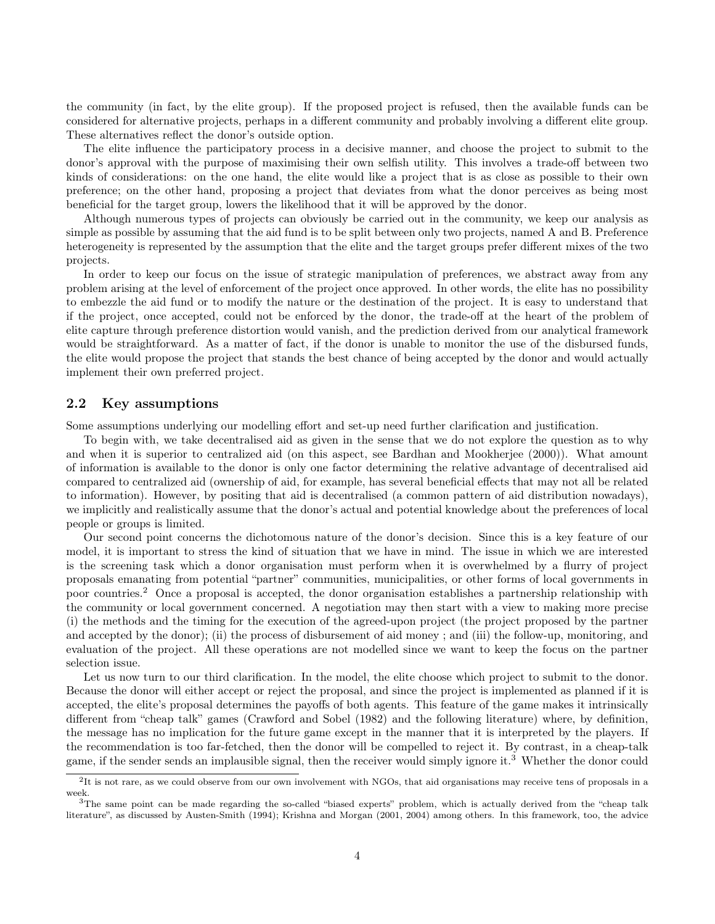the community (in fact, by the elite group). If the proposed project is refused, then the available funds can be considered for alternative projects, perhaps in a different community and probably involving a different elite group. These alternatives reflect the donor's outside option.

The elite influence the participatory process in a decisive manner, and choose the project to submit to the donor's approval with the purpose of maximising their own selfish utility. This involves a trade-off between two kinds of considerations: on the one hand, the elite would like a project that is as close as possible to their own preference; on the other hand, proposing a project that deviates from what the donor perceives as being most beneficial for the target group, lowers the likelihood that it will be approved by the donor.

Although numerous types of projects can obviously be carried out in the community, we keep our analysis as simple as possible by assuming that the aid fund is to be split between only two projects, named A and B. Preference heterogeneity is represented by the assumption that the elite and the target groups prefer different mixes of the two projects.

In order to keep our focus on the issue of strategic manipulation of preferences, we abstract away from any problem arising at the level of enforcement of the project once approved. In other words, the elite has no possibility to embezzle the aid fund or to modify the nature or the destination of the project. It is easy to understand that if the project, once accepted, could not be enforced by the donor, the trade-off at the heart of the problem of elite capture through preference distortion would vanish, and the prediction derived from our analytical framework would be straightforward. As a matter of fact, if the donor is unable to monitor the use of the disbursed funds, the elite would propose the project that stands the best chance of being accepted by the donor and would actually implement their own preferred project.

#### 2.2 Key assumptions

Some assumptions underlying our modelling effort and set-up need further clarification and justification.

To begin with, we take decentralised aid as given in the sense that we do not explore the question as to why and when it is superior to centralized aid (on this aspect, see Bardhan and Mookherjee (2000)). What amount of information is available to the donor is only one factor determining the relative advantage of decentralised aid compared to centralized aid (ownership of aid, for example, has several beneficial effects that may not all be related to information). However, by positing that aid is decentralised (a common pattern of aid distribution nowadays), we implicitly and realistically assume that the donor's actual and potential knowledge about the preferences of local people or groups is limited.

Our second point concerns the dichotomous nature of the donor's decision. Since this is a key feature of our model, it is important to stress the kind of situation that we have in mind. The issue in which we are interested is the screening task which a donor organisation must perform when it is overwhelmed by a flurry of project proposals emanating from potential "partner" communities, municipalities, or other forms of local governments in poor countries.<sup>2</sup> Once a proposal is accepted, the donor organisation establishes a partnership relationship with the community or local government concerned. A negotiation may then start with a view to making more precise (i) the methods and the timing for the execution of the agreed-upon project (the project proposed by the partner and accepted by the donor); (ii) the process of disbursement of aid money ; and (iii) the follow-up, monitoring, and evaluation of the project. All these operations are not modelled since we want to keep the focus on the partner selection issue.

Let us now turn to our third clarification. In the model, the elite choose which project to submit to the donor. Because the donor will either accept or reject the proposal, and since the project is implemented as planned if it is accepted, the elite's proposal determines the payoffs of both agents. This feature of the game makes it intrinsically different from "cheap talk" games (Crawford and Sobel (1982) and the following literature) where, by definition, the message has no implication for the future game except in the manner that it is interpreted by the players. If the recommendation is too far-fetched, then the donor will be compelled to reject it. By contrast, in a cheap-talk game, if the sender sends an implausible signal, then the receiver would simply ignore it.<sup>3</sup> Whether the donor could

<sup>&</sup>lt;sup>2</sup>It is not rare, as we could observe from our own involvement with NGOs, that aid organisations may receive tens of proposals in a week.

 $3$ The same point can be made regarding the so-called "biased experts" problem, which is actually derived from the "cheap talk literature", as discussed by Austen-Smith (1994); Krishna and Morgan (2001, 2004) among others. In this framework, too, the advice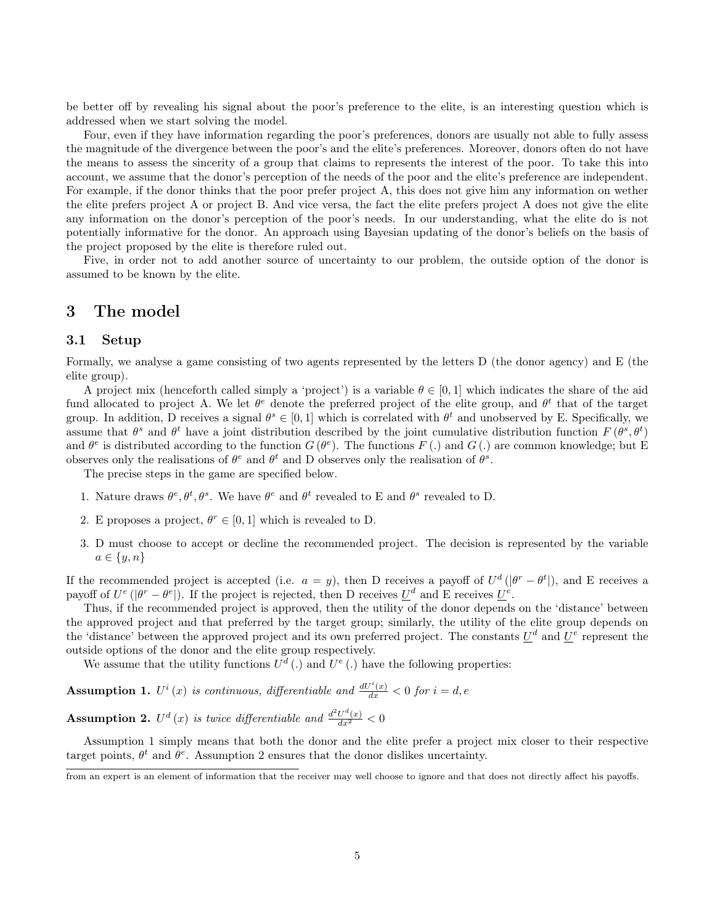be better off by revealing his signal about the poor's preference to the elite, is an interesting question which is addressed when we start solving the model.

Four, even if they have information regarding the poor's preferences, donors are usually not able to fully assess the magnitude of the divergence between the poor's and the elite's preferences. Moreover, donors often do not have the means to assess the sincerity of a group that claims to represents the interest of the poor. To take this into account, we assume that the donor's perception of the needs of the poor and the elite's preference are independent. For example, if the donor thinks that the poor prefer project A, this does not give him any information on wether the elite prefers project A or project B. And vice versa, the fact the elite prefers project A does not give the elite any information on the donor's perception of the poor's needs. In our understanding, what the elite do is not potentially informative for the donor. An approach using Bayesian updating of the donor's beliefs on the basis of the project proposed by the elite is therefore ruled out.

Five, in order not to add another source of uncertainty to our problem, the outside option of the donor is assumed to be known by the elite.

## 3 The model

#### 3.1 Setup

Formally, we analyse a game consisting of two agents represented by the letters D (the donor agency) and E (the elite group).

A project mix (henceforth called simply a 'project') is a variable  $\theta \in [0,1]$  which indicates the share of the aid fund allocated to project A. We let  $\theta^e$  denote the preferred project of the elite group, and  $\theta^t$  that of the target group. In addition, D receives a signal  $\theta^s \in [0,1]$  which is correlated with  $\theta^t$  and unobserved by E. Specifically, we assume that  $\theta^s$  and  $\theta^t$  have a joint distribution described by the joint cumulative distribution function  $F(\theta^s, \theta^t)$ and  $\theta^e$  is distributed according to the function  $G(\theta^e)$ . The functions  $F(.)$  and  $G(.)$  are common knowledge; but E observes only the realisations of  $\theta^e$  and  $\theta^t$  and D observes only the realisation of  $\theta^s$ .

The precise steps in the game are specified below.

- 1. Nature draws  $\theta^e, \theta^t, \theta^s$ . We have  $\theta^e$  and  $\theta^t$  revealed to E and  $\theta^s$  revealed to D.
- 2. E proposes a project,  $\theta^r \in [0, 1]$  which is revealed to D.
- 3. D must choose to accept or decline the recommended project. The decision is represented by the variable  $a \in \{y, n\}$

If the recommended project is accepted (i.e.  $a = y$ ), then D receives a payoff of  $U^d$  ( $|\theta^r - \theta^t|$ ), and E receives a payoff of  $U^e$  ( $|\theta^r - \theta^e|$ ). If the project is rejected, then D receives  $U^d$  and E receives  $U^e$ .

Thus, if the recommended project is approved, then the utility of the donor depends on the 'distance' between the approved project and that preferred by the target group; similarly, the utility of the elite group depends on the 'distance' between the approved project and its own preferred project. The constants  $\underline{U}^d$  and  $\underline{U}^e$  represent the outside options of the donor and the elite group respectively.

We assume that the utility functions  $U^d$  (.) and  $U^e$  (.) have the following properties:

**Assumption 1.**  $U^i(x)$  is continuous, differentiable and  $\frac{dU^i(x)}{dx} < 0$  for  $i = d, e$ 

**Assumption 2.**  $U^d(x)$  is twice differentiable and  $\frac{d^2U^d(x)}{dx^2} < 0$ 

Assumption 1 simply means that both the donor and the elite prefer a project mix closer to their respective target points,  $\theta^t$  and  $\theta^e$ . Assumption 2 ensures that the donor dislikes uncertainty.

from an expert is an element of information that the receiver may well choose to ignore and that does not directly affect his payoffs.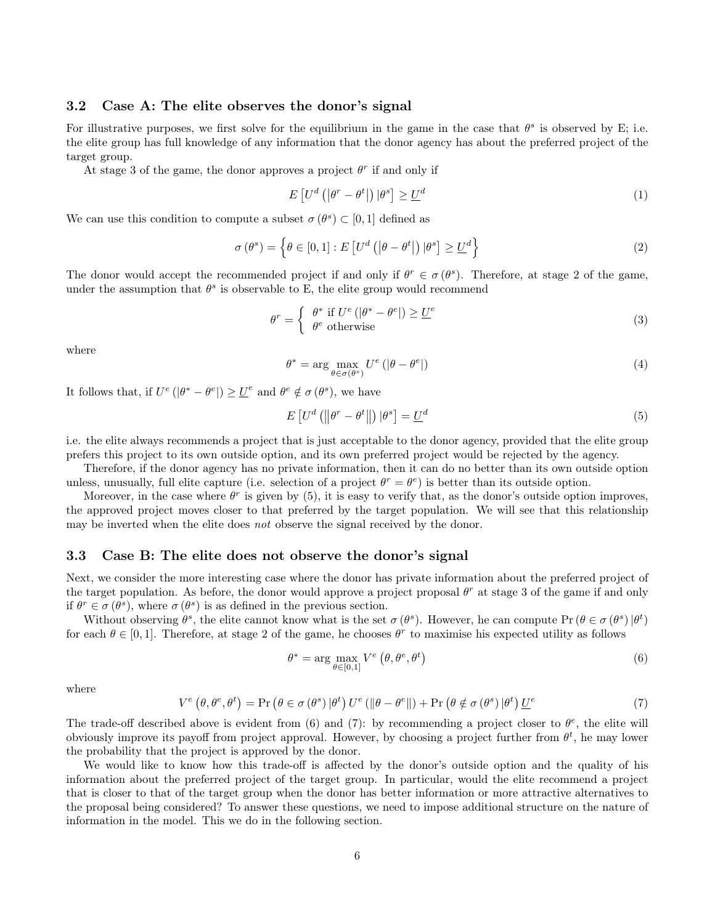#### 3.2 Case A: The elite observes the donor's signal

For illustrative purposes, we first solve for the equilibrium in the game in the case that  $\theta^s$  is observed by E; i.e. the elite group has full knowledge of any information that the donor agency has about the preferred project of the target group.

At stage 3 of the game, the donor approves a project  $\theta^r$  if and only if

$$
E\left[U^d\left(\left|\theta^r - \theta^t\right|\right)|\theta^s\right] \ge \underline{U}^d\tag{1}
$$

We can use this condition to compute a subset  $\sigma(\theta^s) \subset [0,1]$  defined as

$$
\sigma(\theta^s) = \left\{ \theta \in [0,1] : E\left[U^d\left(\left|\theta - \theta^t\right|\right)|\theta^s\right] \ge \underline{U}^d \right\} \tag{2}
$$

The donor would accept the recommended project if and only if  $\theta^r \in \sigma(\theta^s)$ . Therefore, at stage 2 of the game, under the assumption that  $\theta^s$  is observable to E, the elite group would recommend

$$
\theta^r = \begin{cases} \theta^* \text{ if } U^e \left( |\theta^* - \theta^e| \right) \geq \underline{U}^e \\ \theta^e \text{ otherwise} \end{cases}
$$
 (3)

where

$$
\theta^* = \arg\max_{\theta \in \sigma(\theta^s)} U^e \left( |\theta - \theta^e| \right) \tag{4}
$$

It follows that, if  $U^e(|\theta^* - \theta^e|) \geq \underline{U}^e$  and  $\theta^e \notin \sigma(\theta^s)$ , we have

$$
E\left[U^d\left(\left\|\theta^r - \theta^t\right\|\right)|\theta^s\right] = \underline{U}^d\tag{5}
$$

i.e. the elite always recommends a project that is just acceptable to the donor agency, provided that the elite group prefers this project to its own outside option, and its own preferred project would be rejected by the agency.

Therefore, if the donor agency has no private information, then it can do no better than its own outside option unless, unusually, full elite capture (i.e. selection of a project  $\theta^r = \theta^e$ ) is better than its outside option.

Moreover, in the case where  $\theta^r$  is given by (5), it is easy to verify that, as the donor's outside option improves, the approved project moves closer to that preferred by the target population. We will see that this relationship may be inverted when the elite does not observe the signal received by the donor.

#### 3.3 Case B: The elite does not observe the donor's signal

Next, we consider the more interesting case where the donor has private information about the preferred project of the target population. As before, the donor would approve a project proposal  $\theta^r$  at stage 3 of the game if and only if  $\theta^r \in \sigma(\theta^s)$ , where  $\sigma(\theta^s)$  is as defined in the previous section.

Without observing  $\theta^s$ , the elite cannot know what is the set  $\sigma(\theta^s)$ . However, he can compute  $\Pr(\theta \in \sigma(\theta^s) | \theta^t)$ for each  $\theta \in [0, 1]$ . Therefore, at stage 2 of the game, he chooses  $\theta^r$  to maximise his expected utility as follows

$$
\theta^* = \arg\max_{\theta \in [0,1]} V^e\left(\theta, \theta^e, \theta^t\right) \tag{6}
$$

where

$$
V^{e}(\theta, \theta^{e}, \theta^{t}) = \Pr(\theta \in \sigma(\theta^{s})|\theta^{t}) U^{e} (\|\theta - \theta^{e}\|) + \Pr(\theta \notin \sigma(\theta^{s})|\theta^{t}) \underline{U}^{e}
$$
\n(7)

The trade-off described above is evident from (6) and (7): by recommending a project closer to  $\theta^e$ , the elite will obviously improve its payoff from project approval. However, by choosing a project further from  $\theta^t$ , he may lower the probability that the project is approved by the donor.

We would like to know how this trade-off is affected by the donor's outside option and the quality of his information about the preferred project of the target group. In particular, would the elite recommend a project that is closer to that of the target group when the donor has better information or more attractive alternatives to the proposal being considered? To answer these questions, we need to impose additional structure on the nature of information in the model. This we do in the following section.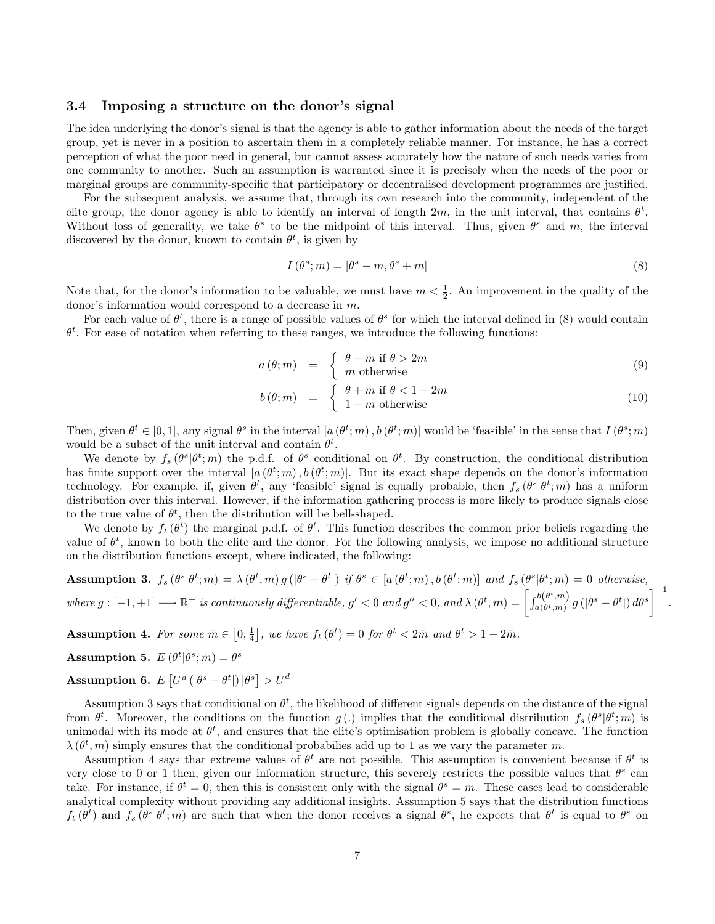#### 3.4 Imposing a structure on the donor's signal

The idea underlying the donor's signal is that the agency is able to gather information about the needs of the target group, yet is never in a position to ascertain them in a completely reliable manner. For instance, he has a correct perception of what the poor need in general, but cannot assess accurately how the nature of such needs varies from one community to another. Such an assumption is warranted since it is precisely when the needs of the poor or marginal groups are community-specific that participatory or decentralised development programmes are justified.

For the subsequent analysis, we assume that, through its own research into the community, independent of the elite group, the donor agency is able to identify an interval of length  $2m$ , in the unit interval, that contains  $\theta^t$ . Without loss of generality, we take  $\theta^s$  to be the midpoint of this interval. Thus, given  $\theta^s$  and m, the interval discovered by the donor, known to contain  $\theta^t$ , is given by

$$
I(\theta^s; m) = [\theta^s - m, \theta^s + m]
$$
\n(8)

Note that, for the donor's information to be valuable, we must have  $m < \frac{1}{2}$ . An improvement in the quality of the donor's information would correspond to a decrease in m.

For each value of  $\theta^t$ , there is a range of possible values of  $\theta^s$  for which the interval defined in (8) would contain  $\theta^t$ . For ease of notation when referring to these ranges, we introduce the following functions:

$$
a(\theta; m) = \begin{cases} \theta - m & \text{if } \theta > 2m \\ m & \text{otherwise} \end{cases}
$$
 (9)

$$
b(\theta; m) = \begin{cases} \theta + m & \text{if } \theta < 1 - 2m \\ 1 - m & \text{otherwise} \end{cases}
$$
 (10)

.

Then, given  $\theta^t \in [0,1]$ , any signal  $\theta^s$  in the interval  $[a(\theta^t;m), b(\theta^t;m)]$  would be 'feasible' in the sense that  $I(\theta^s;m)$ would be a subset of the unit interval and contain  $\theta^t$ .

We denote by  $f_s(\theta^s|\theta^t;m)$  the p.d.f. of  $\theta^s$  conditional on  $\theta^t$ . By construction, the conditional distribution has finite support over the interval  $[a(\theta^t;m), b(\theta^t;m)]$ . But its exact shape depends on the donor's information technology. For example, if, given  $\theta^t$ , any 'feasible' signal is equally probable, then  $f_s(\theta^s|\theta^t;m)$  has a uniform distribution over this interval. However, if the information gathering process is more likely to produce signals close to the true value of  $\theta^t$ , then the distribution will be bell-shaped.

We denote by  $f_t(\theta^t)$  the marginal p.d.f. of  $\theta^t$ . This function describes the common prior beliefs regarding the value of  $\theta^t$ , known to both the elite and the donor. For the following analysis, we impose no additional structure on the distribution functions except, where indicated, the following:

Assumption 3. 
$$
f_s(\theta^s|\theta^t;m) = \lambda(\theta^t,m) g(|\theta^s - \theta^t|)
$$
 if  $\theta^s \in [a(\theta^t;m), b(\theta^t;m)]$  and  $f_s(\theta^s|\theta^t;m) = 0$  otherwise,  
where  $g: [-1,+1] \longrightarrow \mathbb{R}^+$  is continuously differentiable,  $g' < 0$  and  $g'' < 0$ , and  $\lambda(\theta^t,m) = \left[ \int_{a(\theta^t,m)}^{b(\theta^t,m)} g(|\theta^s - \theta^t|) d\theta^s \right]^{-1}$ 

**Assumption 4.** For some  $\bar{m} \in [0, \frac{1}{4}]$ , we have  $f_t(\theta^t) = 0$  for  $\theta^t < 2\bar{m}$  and  $\theta^t > 1 - 2\bar{m}$ .

Assumption 5.  $E(\theta^t | \theta^s; m) = \theta^s$ 

Assumption 6.  $E[U^d(|\theta^s - \theta^t|)|\theta^s] > \underline{U}^d$ 

Assumption 3 says that conditional on  $\theta^t$ , the likelihood of different signals depends on the distance of the signal from  $\theta^t$ . Moreover, the conditions on the function g(.) implies that the conditional distribution  $f_s(\theta^s|\theta^t;m)$  is unimodal with its mode at  $\theta^t$ , and ensures that the elite's optimisation problem is globally concave. The function  $\lambda(\theta^t, m)$  simply ensures that the conditional probabilies add up to 1 as we vary the parameter m.

Assumption 4 says that extreme values of  $\theta^t$  are not possible. This assumption is convenient because if  $\theta^t$  is very close to 0 or 1 then, given our information structure, this severely restricts the possible values that  $\theta^s$  can take. For instance, if  $\theta^t = 0$ , then this is consistent only with the signal  $\theta^s = m$ . These cases lead to considerable analytical complexity without providing any additional insights. Assumption 5 says that the distribution functions  $f_t(\theta^t)$  and  $f_s(\theta^s|\theta^t; m)$  are such that when the donor receives a signal  $\theta^s$ , he expects that  $\theta^t$  is equal to  $\theta^s$  on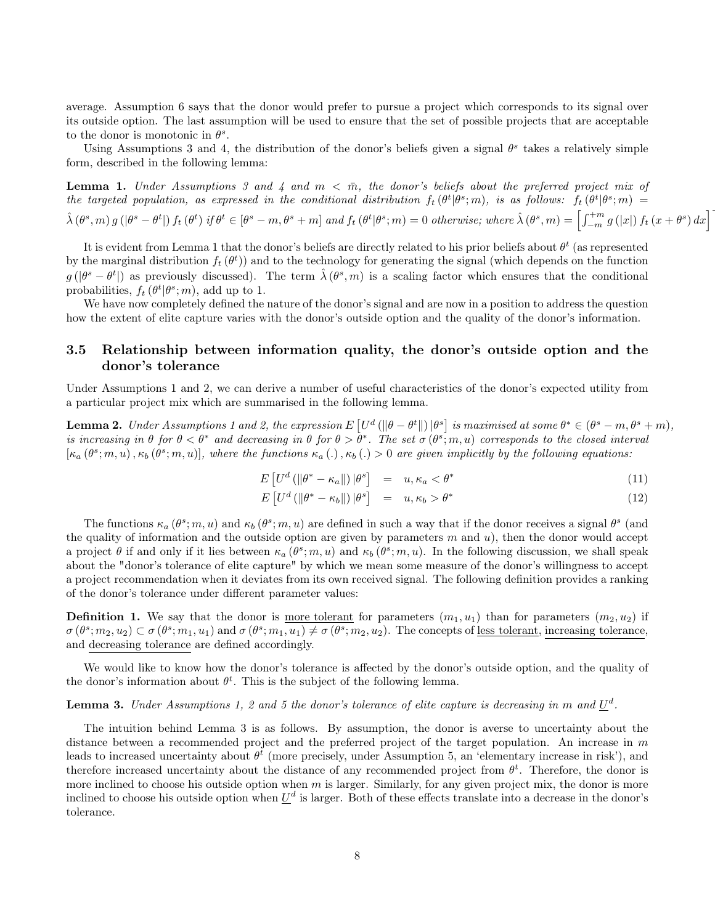average. Assumption 6 says that the donor would prefer to pursue a project which corresponds to its signal over its outside option. The last assumption will be used to ensure that the set of possible projects that are acceptable to the donor is monotonic in  $\theta^s$ .

Using Assumptions 3 and 4, the distribution of the donor's beliefs given a signal  $\theta^s$  takes a relatively simple form, described in the following lemma:

**Lemma 1.** Under Assumptions 3 and 4 and  $m < \overline{m}$ , the donor's beliefs about the preferred project mix of the targeted population, as expressed in the conditional distribution  $f_t(\theta^t|\theta^s;m)$ , is as follows:  $f_t(\theta^t|\theta^s;m)$  =  $\hat{\lambda}(\theta^s,m) g(|\theta^s-\theta^t|) f_t(\theta^t) \text{ if } \theta^t \in [\theta^s-m, \theta^s+m] \text{ and } f_t(\theta^t|\theta^s;m) = 0 \text{ otherwise; where } \hat{\lambda}(\theta^s,m) = \left[\int_{-m}^{+m} g(|x|) f_t(x+\theta^s) dx\right]^{-1}$ 

It is evident from Lemma 1 that the donor's beliefs are directly related to his prior beliefs about  $\theta^t$  (as represented by the marginal distribution  $f_t(\theta^t)$  and to the technology for generating the signal (which depends on the function  $g(|\theta^s - \theta^t|)$  as previously discussed). The term  $\hat{\lambda}(\theta^s, m)$  is a scaling factor which ensures that the conditional probabilities,  $f_t(\theta^t | \theta^s; m)$ , add up to 1.

We have now completely defined the nature of the donor's signal and are now in a position to address the question how the extent of elite capture varies with the donor's outside option and the quality of the donor's information.

### 3.5 Relationship between information quality, the donor's outside option and the donor's tolerance

Under Assumptions 1 and 2, we can derive a number of useful characteristics of the donor's expected utility from a particular project mix which are summarised in the following lemma.

**Lemma 2.** Under Assumptions 1 and 2, the expression  $E\left[U^d(\|\theta-\theta^t\|) | \theta^s\right]$  is maximised at some  $\theta^* \in (\theta^s - m, \theta^s + m)$ , is increasing in  $\theta$  for  $\theta < \theta^*$  and decreasing in  $\theta$  for  $\theta > \tilde{\theta}^*$ . The set  $\sigma(\theta^s; m, u)$  corresponds to the closed interval  $[\kappa_a(\theta^s;m,u),\kappa_b(\theta^s;m,u)]$ , where the functions  $\kappa_a(.)$ ,  $\kappa_b(.)>0$  are given implicitly by the following equations:

$$
E\left[U^d\left(\left\|\theta^* - \kappa_a\right\|\right)|\theta^s\right] = u, \kappa_a < \theta^* \tag{11}
$$

$$
E\left[U^d\left(\left\|\theta^* - \kappa_b\right\|\right)|\theta^s\right] = u, \kappa_b > \theta^*
$$
\n(12)

The functions  $\kappa_a(\theta^s; m, u)$  and  $\kappa_b(\theta^s; m, u)$  are defined in such a way that if the donor receives a signal  $\theta^s$  (and the quality of information and the outside option are given by parameters  $m$  and  $u$ ), then the donor would accept a project  $\theta$  if and only if it lies between  $\kappa_a(\theta^s; m, u)$  and  $\kappa_b(\theta^s; m, u)$ . In the following discussion, we shall speak about the "donor's tolerance of elite capture" by which we mean some measure of the donor's willingness to accept a project recommendation when it deviates from its own received signal. The following definition provides a ranking of the donor's tolerance under different parameter values:

**Definition 1.** We say that the donor is more tolerant for parameters  $(m_1, u_1)$  than for parameters  $(m_2, u_2)$  if  $\sigma(\theta^s; m_2, u_2) \subset \sigma(\theta^s; m_1, u_1)$  and  $\sigma(\theta^s; m_1, u_1) \neq \sigma(\theta^s; m_2, u_2)$ . The concepts of <u>less tolerant</u>, increasing tolerance, and decreasing tolerance are defined accordingly.

We would like to know how the donor's tolerance is affected by the donor's outside option, and the quality of the donor's information about  $\theta^t$ . This is the subject of the following lemma.

**Lemma 3.** Under Assumptions 1, 2 and 5 the donor's tolerance of elite capture is decreasing in m and  $\underline{U}^d$ .

The intuition behind Lemma 3 is as follows. By assumption, the donor is averse to uncertainty about the distance between a recommended project and the preferred project of the target population. An increase in m leads to increased uncertainty about  $\theta^t$  (more precisely, under Assumption 5, an 'elementary increase in risk'), and therefore increased uncertainty about the distance of any recommended project from  $\theta^t$ . Therefore, the donor is more inclined to choose his outside option when  $m$  is larger. Similarly, for any given project mix, the donor is more inclined to choose his outside option when  $\underline{U}^d$  is larger. Both of these effects translate into a decrease in the donor's tolerance.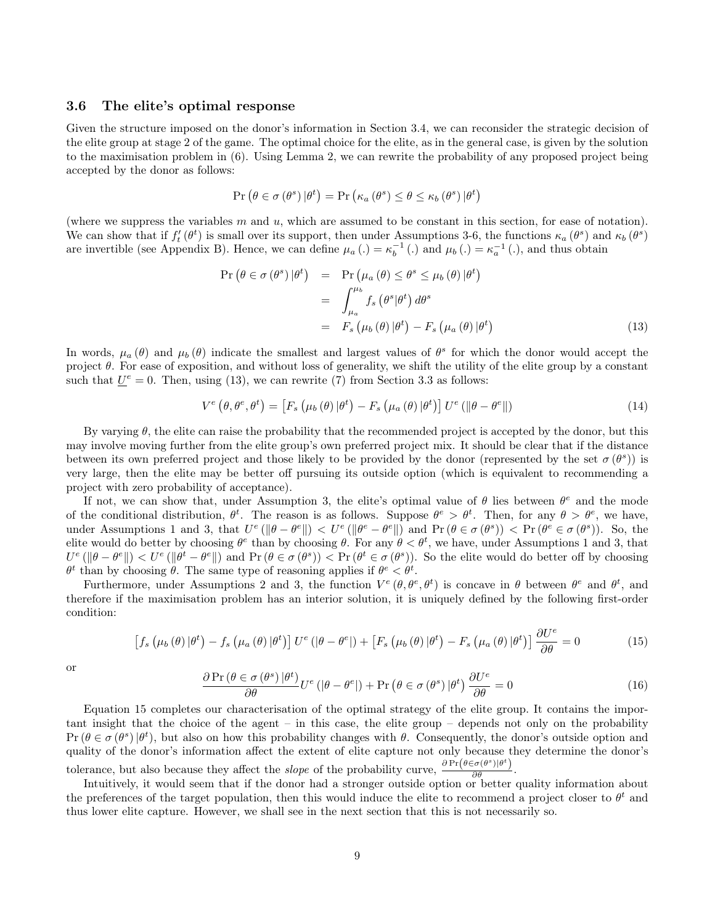#### 3.6 The elite's optimal response

Given the structure imposed on the donor's information in Section 3.4, we can reconsider the strategic decision of the elite group at stage 2 of the game. The optimal choice for the elite, as in the general case, is given by the solution to the maximisation problem in (6). Using Lemma 2, we can rewrite the probability of any proposed project being accepted by the donor as follows:

$$
\Pr\left(\theta \in \sigma\left(\theta^{s}\right)|\theta^{t}\right) = \Pr\left(\kappa_{a}\left(\theta^{s}\right) \leq \theta \leq \kappa_{b}\left(\theta^{s}\right)|\theta^{t}\right)
$$

(where we suppress the variables m and u, which are assumed to be constant in this section, for ease of notation). We can show that if  $f'_t(\theta^t)$  is small over its support, then under Assumptions 3-6, the functions  $\kappa_a(\theta^s)$  and  $\kappa_b(\theta^s)$ are invertible (see Appendix B). Hence, we can define  $\mu_a(.) = \kappa_b^{-1}(.)$  and  $\mu_b(.) = \kappa_a^{-1}(.)$ , and thus obtain

$$
\Pr\left(\theta \in \sigma\left(\theta^{s}\right)|\theta^{t}\right) = \Pr\left(\mu_{a}\left(\theta\right) \leq \theta^{s} \leq \mu_{b}\left(\theta\right)|\theta^{t}\right)
$$
\n
$$
= \int_{\mu_{a}}^{\mu_{b}} f_{s}\left(\theta^{s}|\theta^{t}\right) d\theta^{s}
$$
\n
$$
= F_{s}\left(\mu_{b}\left(\theta\right)|\theta^{t}\right) - F_{s}\left(\mu_{a}\left(\theta\right)|\theta^{t}\right) \tag{13}
$$

In words,  $\mu_a(\theta)$  and  $\mu_b(\theta)$  indicate the smallest and largest values of  $\theta^s$  for which the donor would accept the project  $\theta$ . For ease of exposition, and without loss of generality, we shift the utility of the elite group by a constant such that  $U^e = 0$ . Then, using (13), we can rewrite (7) from Section 3.3 as follows:

$$
V^{e}(\theta, \theta^{e}, \theta^{t}) = \left[ F_{s}(\mu_{b}(\theta) | \theta^{t}) - F_{s}(\mu_{a}(\theta) | \theta^{t}) \right] U^{e}(\|\theta - \theta^{e}\|)
$$
\n(14)

By varying  $\theta$ , the elite can raise the probability that the recommended project is accepted by the donor, but this may involve moving further from the elite group's own preferred project mix. It should be clear that if the distance between its own preferred project and those likely to be provided by the donor (represented by the set  $\sigma(\theta^s)$ ) is very large, then the elite may be better off pursuing its outside option (which is equivalent to recommending a project with zero probability of acceptance).

If not, we can show that, under Assumption 3, the elite's optimal value of  $\theta$  lies between  $\theta^e$  and the mode of the conditional distribution,  $\theta^t$ . The reason is as follows. Suppose  $\theta^e > \theta^t$ . Then, for any  $\theta > \theta^e$ , we have, under Assumptions 1 and 3, that  $U^e(\|\theta - \theta^e\|) < U^e(\|\theta^e - \theta^e\|)$  and  $Pr(\theta \in \sigma(\theta^s)) < Pr(\theta^e \in \sigma(\theta^s))$ . So, the elite would do better by choosing  $\theta^e$  than by choosing  $\theta$ . For any  $\theta < \theta^t$ , we have, under Assumptions 1 and 3, that  $U^e(\|\theta-\theta^e\|)< U^e(\|\theta^t-\theta^e\|)$  and  $\Pr(\theta \in \sigma(\theta^s)) < \Pr(\theta^t \in \sigma(\theta^s))$ . So the elite would do better off by choosing  $\theta^t$  than by choosing  $\theta$ . The same type of reasoning applies if  $\theta^e < \theta^t$ .

Furthermore, under Assumptions 2 and 3, the function  $V^e(\theta, \theta^e, \theta^t)$  is concave in  $\theta$  between  $\theta^e$  and  $\theta^t$ , and therefore if the maximisation problem has an interior solution, it is uniquely defined by the following first-order condition:

$$
\[f_s\left(\mu_b\left(\theta\right)|\theta^t\right) - f_s\left(\mu_a\left(\theta\right)|\theta^t\right)\] U^e\left(|\theta - \theta^e|\right) + \left[F_s\left(\mu_b\left(\theta\right)|\theta^t\right) - F_s\left(\mu_a\left(\theta\right)|\theta^t\right)\right] \frac{\partial U^e}{\partial \theta} = 0 \tag{15}
$$

or

$$
\frac{\partial \Pr\left(\theta \in \sigma\left(\theta^{s}\right)|\theta^{t}\right)}{\partial \theta}U^{e}\left(|\theta - \theta^{e}|\right) + \Pr\left(\theta \in \sigma\left(\theta^{s}\right)|\theta^{t}\right) \frac{\partial U^{e}}{\partial \theta} = 0 \tag{16}
$$

Equation 15 completes our characterisation of the optimal strategy of the elite group. It contains the important insight that the choice of the agent – in this case, the elite group – depends not only on the probability  $\Pr(\theta \in \sigma(\theta^s) | \theta^t)$ , but also on how this probability changes with  $\theta$ . Consequently, the donor's outside option and quality of the donor's information affect the extent of elite capture not only because they determine the donor's tolerance, but also because they affect the *slope* of the probability curve,  $\frac{\partial Pr(\theta \in \sigma(\theta^s)|\theta^t)}{\partial \theta}$ .

Intuitively, it would seem that if the donor had a stronger outside option or better quality information about the preferences of the target population, then this would induce the elite to recommend a project closer to  $\theta^t$  and thus lower elite capture. However, we shall see in the next section that this is not necessarily so.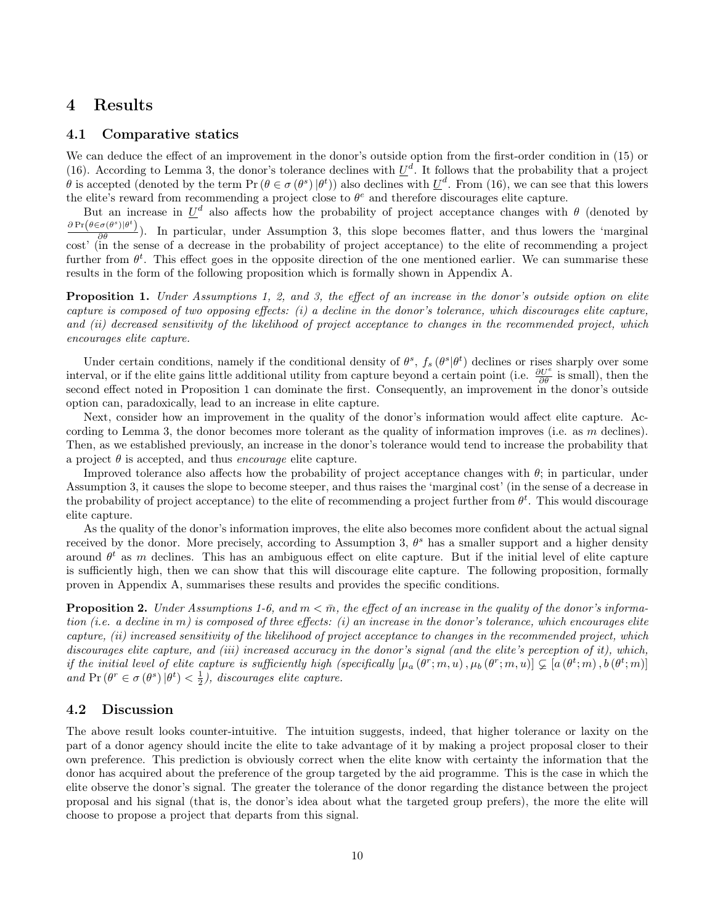## 4 Results

#### 4.1 Comparative statics

We can deduce the effect of an improvement in the donor's outside option from the first-order condition in  $(15)$  or (16). According to Lemma 3, the donor's tolerance declines with  $\underline{U}^d$ . It follows that the probability that a project  $\hat{\theta}$  is accepted (denoted by the term  $\Pr(\theta \in \sigma(\theta^s) | \theta^t)$ ) also declines with  $\underline{U}^d$ . From (16), we can see that this lowers the elite's reward from recommending a project close to  $\theta^e$  and therefore discourages elite capture.

But an increase in  $\underline{U}^d$  also affects how the probability of project acceptance changes with  $\theta$  (denoted by  $\frac{\partial Pr(\theta \in \sigma(\theta^s)|\theta^t)}{\partial \theta}$ . In particular, under Assumption 3, this slope becomes flatter, and thus lowers the 'marginal cost' (in the sense of a decrease in the probability of project acceptance) to the elite of recommending a project further from  $\theta^t$ . This effect goes in the opposite direction of the one mentioned earlier. We can summarise these results in the form of the following proposition which is formally shown in Appendix A.

Proposition 1. Under Assumptions 1, 2, and 3, the effect of an increase in the donor's outside option on elite capture is composed of two opposing effects: (i) a decline in the donor's tolerance, which discourages elite capture, and (ii) decreased sensitivity of the likelihood of project acceptance to changes in the recommended project, which encourages elite capture.

Under certain conditions, namely if the conditional density of  $\theta^s$ ,  $f_s(\theta^s|\theta^t)$  declines or rises sharply over some interval, or if the elite gains little additional utility from capture beyond a certain point (i.e.  $\frac{\partial U^e}{\partial \theta}$  is small), then the second effect noted in Proposition 1 can dominate the first. Consequently, an improvement in the donor's outside option can, paradoxically, lead to an increase in elite capture.

Next, consider how an improvement in the quality of the donor's information would affect elite capture. According to Lemma 3, the donor becomes more tolerant as the quality of information improves (i.e. as m declines). Then, as we established previously, an increase in the donor's tolerance would tend to increase the probability that a project  $\theta$  is accepted, and thus *encourage* elite capture.

Improved tolerance also affects how the probability of project acceptance changes with  $\theta$ ; in particular, under Assumption 3, it causes the slope to become steeper, and thus raises the 'marginal cost' (in the sense of a decrease in the probability of project acceptance) to the elite of recommending a project further from  $\theta^t$ . This would discourage elite capture.

As the quality of the donor's information improves, the elite also becomes more confident about the actual signal received by the donor. More precisely, according to Assumption 3,  $\theta^s$  has a smaller support and a higher density around  $\theta^t$  as m declines. This has an ambiguous effect on elite capture. But if the initial level of elite capture is sufficiently high, then we can show that this will discourage elite capture. The following proposition, formally proven in Appendix A, summarises these results and provides the specific conditions.

**Proposition 2.** Under Assumptions 1-6, and  $m < \bar{m}$ , the effect of an increase in the quality of the donor's information (i.e. a decline in m) is composed of three effects: (i) an increase in the donor's tolerance, which encourages elite capture, (ii) increased sensitivity of the likelihood of project acceptance to changes in the recommended project, which discourages elite capture, and (iii) increased accuracy in the donor's signal (and the elite's perception of it), which, if the initial level of elite capture is sufficiently high (specifically  $[\mu_a(\theta^r;m,u), \mu_b(\theta^r;m,u)] \subsetneq [a(\theta^t;m), b(\theta^t;m)]$ and  $Pr(\theta^r \in \sigma(\theta^s) | \theta^t) < \frac{1}{2})$ , discourages elite capture.

#### 4.2 Discussion

The above result looks counter-intuitive. The intuition suggests, indeed, that higher tolerance or laxity on the part of a donor agency should incite the elite to take advantage of it by making a project proposal closer to their own preference. This prediction is obviously correct when the elite know with certainty the information that the donor has acquired about the preference of the group targeted by the aid programme. This is the case in which the elite observe the donor's signal. The greater the tolerance of the donor regarding the distance between the project proposal and his signal (that is, the donor's idea about what the targeted group prefers), the more the elite will choose to propose a project that departs from this signal.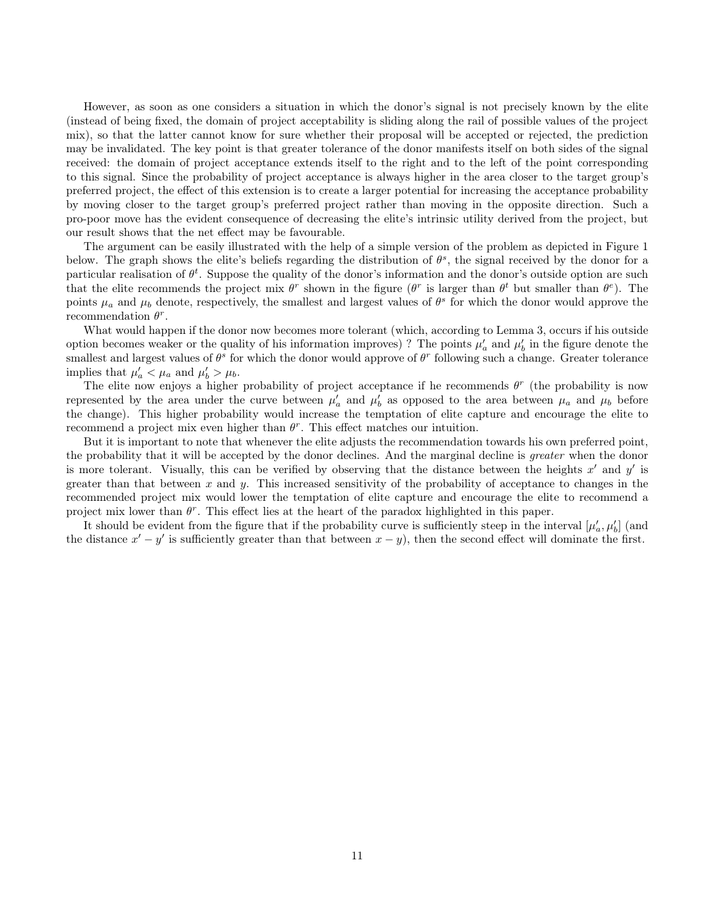However, as soon as one considers a situation in which the donor's signal is not precisely known by the elite (instead of being fixed, the domain of project acceptability is sliding along the rail of possible values of the project mix), so that the latter cannot know for sure whether their proposal will be accepted or rejected, the prediction may be invalidated. The key point is that greater tolerance of the donor manifests itself on both sides of the signal received: the domain of project acceptance extends itself to the right and to the left of the point corresponding to this signal. Since the probability of project acceptance is always higher in the area closer to the target group's preferred project, the effect of this extension is to create a larger potential for increasing the acceptance probability by moving closer to the target group's preferred project rather than moving in the opposite direction. Such a pro-poor move has the evident consequence of decreasing the elite's intrinsic utility derived from the project, but our result shows that the net effect may be favourable.

The argument can be easily illustrated with the help of a simple version of the problem as depicted in Figure 1 below. The graph shows the elite's beliefs regarding the distribution of  $\theta^s$ , the signal received by the donor for a particular realisation of  $\theta^t$ . Suppose the quality of the donor's information and the donor's outside option are such that the elite recommends the project mix  $\theta^r$  shown in the figure  $(\theta^r$  is larger than  $\theta^t$  but smaller than  $\theta^e$ ). The points  $\mu_a$  and  $\mu_b$  denote, respectively, the smallest and largest values of  $\theta^s$  for which the donor would approve the recommendation  $\theta^r$ .

What would happen if the donor now becomes more tolerant (which, according to Lemma 3, occurs if his outside option becomes weaker or the quality of his information improves)? The points  $\mu'_a$  and  $\mu'_b$  in the figure denote the smallest and largest values of  $\theta^s$  for which the donor would approve of  $\theta^r$  following such a change. Greater tolerance implies that  $\mu_a' < \mu_a$  and  $\mu_b' > \mu_b$ .

The elite now enjoys a higher probability of project acceptance if he recommends  $\theta^r$  (the probability is now represented by the area under the curve between  $\mu'_a$  and  $\mu'_b$  as opposed to the area between  $\mu_a$  and  $\mu_b$  before the change). This higher probability would increase the temptation of elite capture and encourage the elite to recommend a project mix even higher than  $\theta^r$ . This effect matches our intuition.

But it is important to note that whenever the elite adjusts the recommendation towards his own preferred point, the probability that it will be accepted by the donor declines. And the marginal decline is *greater* when the donor is more tolerant. Visually, this can be verified by observing that the distance between the heights  $x'$  and  $y'$  is greater than that between  $x$  and  $y$ . This increased sensitivity of the probability of acceptance to changes in the recommended project mix would lower the temptation of elite capture and encourage the elite to recommend a project mix lower than  $\theta^r$ . This effect lies at the heart of the paradox highlighted in this paper.

It should be evident from the figure that if the probability curve is sufficiently steep in the interval  $[\mu'_a, \mu'_b]$  (and the distance  $x' - y'$  is sufficiently greater than that between  $x - y$ , then the second effect will dominate the first.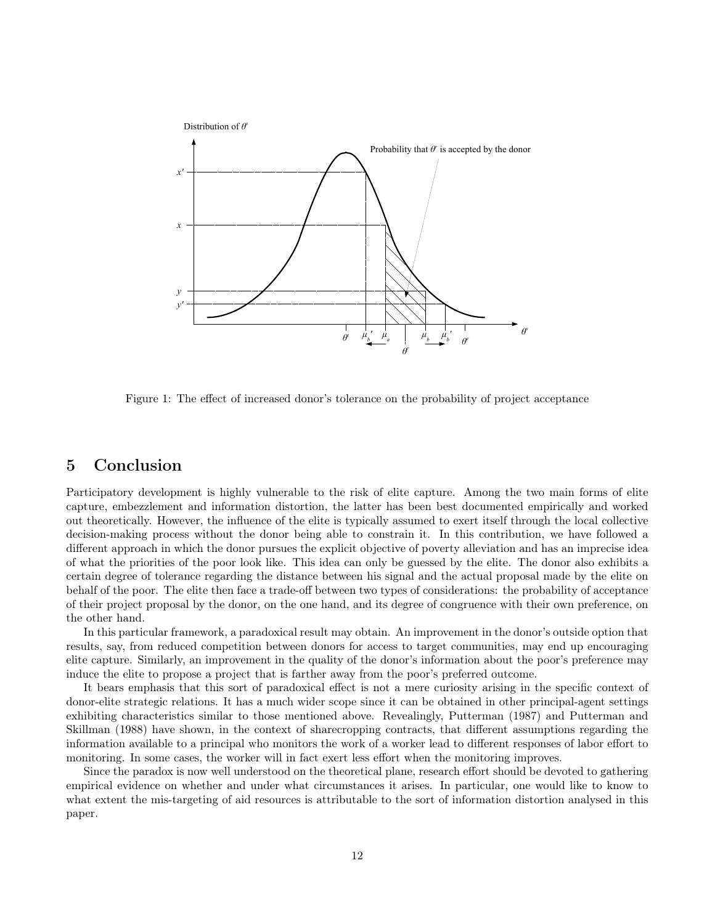

Figure 1: The effect of increased donor's tolerance on the probability of project acceptance

# 5 Conclusion

Participatory development is highly vulnerable to the risk of elite capture. Among the two main forms of elite capture, embezzlement and information distortion, the latter has been best documented empirically and worked out theoretically. However, the influence of the elite is typically assumed to exert itself through the local collective decision-making process without the donor being able to constrain it. In this contribution, we have followed a different approach in which the donor pursues the explicit objective of poverty alleviation and has an imprecise idea of what the priorities of the poor look like. This idea can only be guessed by the elite. The donor also exhibits a certain degree of tolerance regarding the distance between his signal and the actual proposal made by the elite on behalf of the poor. The elite then face a trade-off between two types of considerations: the probability of acceptance of their project proposal by the donor, on the one hand, and its degree of congruence with their own preference, on the other hand.

In this particular framework, a paradoxical result may obtain. An improvement in the donor's outside option that results, say, from reduced competition between donors for access to target communities, may end up encouraging elite capture. Similarly, an improvement in the quality of the donor's information about the poor's preference may induce the elite to propose a project that is farther away from the poor's preferred outcome.

It bears emphasis that this sort of paradoxical effect is not a mere curiosity arising in the specific context of donor-elite strategic relations. It has a much wider scope since it can be obtained in other principal-agent settings exhibiting characteristics similar to those mentioned above. Revealingly, Putterman (1987) and Putterman and Skillman (1988) have shown, in the context of sharecropping contracts, that different assumptions regarding the information available to a principal who monitors the work of a worker lead to different responses of labor effort to monitoring. In some cases, the worker will in fact exert less effort when the monitoring improves.

Since the paradox is now well understood on the theoretical plane, research effort should be devoted to gathering empirical evidence on whether and under what circumstances it arises. In particular, one would like to know to what extent the mis-targeting of aid resources is attributable to the sort of information distortion analysed in this paper.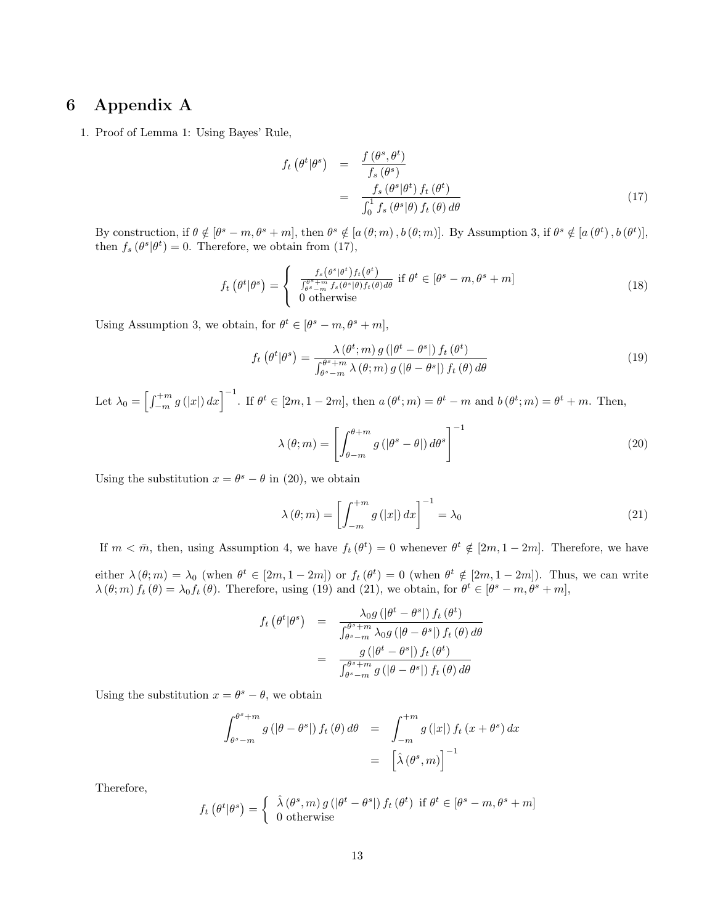# 6 Appendix A

1. Proof of Lemma 1: Using Bayes' Rule,

$$
f_t \left(\theta^t | \theta^s\right) = \frac{f\left(\theta^s, \theta^t\right)}{f_s\left(\theta^s\right)}
$$
  
= 
$$
\frac{f_s \left(\theta^s | \theta^t\right) f_t \left(\theta^t\right)}{\int_0^1 f_s \left(\theta^s | \theta\right) f_t \left(\theta\right) d\theta}
$$
 (17)

By construction, if  $\theta \notin [\theta^s - m, \theta^s + m]$ , then  $\theta^s \notin [a(\theta; m), b(\theta; m)]$ . By Assumption 3, if  $\theta^s \notin [a(\theta^t), b(\theta^t)]$ , then  $f_s(\theta^s|\theta^t) = 0$ . Therefore, we obtain from (17),

$$
f_t\left(\theta^t|\theta^s\right) = \begin{cases} \frac{f_s\left(\theta^s|\theta^t\right)f_t\left(\theta^t\right)}{\int_{\theta^s-m}^{\theta^s+m}f_s\left(\theta^s|\theta\right)f_t(\theta)d\theta} \text{ if } \theta^t \in \left[\theta^s-m,\theta^s+m\right] \\ 0 \text{ otherwise} \end{cases} \tag{18}
$$

Using Assumption 3, we obtain, for  $\theta^t \in [\theta^s - m, \theta^s + m]$ ,

$$
f_t\left(\theta^t|\theta^s\right) = \frac{\lambda\left(\theta^t;m\right)g\left(|\theta^t-\theta^s|\right)f_t\left(\theta^t\right)}{\int_{\theta^s-m}^{\theta^s+m}\lambda\left(\theta;m\right)g\left(|\theta-\theta^s|\right)f_t\left(\theta\right)d\theta}
$$
\n
$$
\tag{19}
$$

Let  $\lambda_0 = \left[\int_{-m}^{+m} g(|x|) dx\right]^{-1}$ . If  $\theta^t \in [2m, 1-2m]$ , then  $a(\theta^t; m) = \theta^t - m$  and  $b(\theta^t; m) = \theta^t + m$ . Then,

$$
\lambda(\theta; m) = \left[ \int_{\theta-m}^{\theta+m} g\left( |\theta^{s} - \theta| \right) d\theta^{s} \right]^{-1}
$$
\n(20)

Using the substitution  $x = \theta^s - \theta$  in (20), we obtain

$$
\lambda(\theta; m) = \left[ \int_{-m}^{+m} g(|x|) dx \right]^{-1} = \lambda_0 \tag{21}
$$

If  $m < \bar{m}$ , then, using Assumption 4, we have  $f_t(\theta^t) = 0$  whenever  $\theta^t \notin [2m, 1-2m]$ . Therefore, we have

either  $\lambda(\theta; m) = \lambda_0$  (when  $\theta^t \in [2m, 1-2m]$ ) or  $f_t(\theta^t) = 0$  (when  $\theta^t \notin [2m, 1-2m]$ ). Thus, we can write  $\lambda(\theta; m) f_t(\theta) = \lambda_0 f_t(\theta)$ . Therefore, using (19) and (21), we obtain, for  $\theta^t \in [\theta^s - m, \theta^s + m]$ ,

$$
f_t \left(\theta^t | \theta^s\right) = \frac{\lambda_0 g\left(|\theta^t - \theta^s|\right) f_t \left(\theta^t\right)}{\int_{\theta^s - m}^{\theta^s + m} \lambda_0 g\left(|\theta - \theta^s|\right) f_t \left(\theta\right) d\theta}
$$

$$
= \frac{g\left(|\theta^t - \theta^s|\right) f_t \left(\theta^t\right)}{\int_{\theta^s - m}^{\theta^s + m} g\left(|\theta - \theta^s|\right) f_t \left(\theta\right) d\theta}
$$

Using the substitution  $x = \theta^s - \theta$ , we obtain

$$
\int_{\theta^s - m}^{\theta^s + m} g\left(|\theta - \theta^s|\right) f_t(\theta) d\theta = \int_{-m}^{+m} g\left(|x|\right) f_t(x + \theta^s) dx
$$

$$
= \left[\hat{\lambda}(\theta^s, m)\right]^{-1}
$$

Therefore,

$$
f_t\left(\theta^t|\theta^s\right) = \begin{cases} \lambda(\theta^s, m) g\left(|\theta^t - \theta^s|\right) f_t\left(\theta^t\right) & \text{if } \theta^t \in [\theta^s - m, \theta^s + m] \\ 0 & \text{otherwise} \end{cases}
$$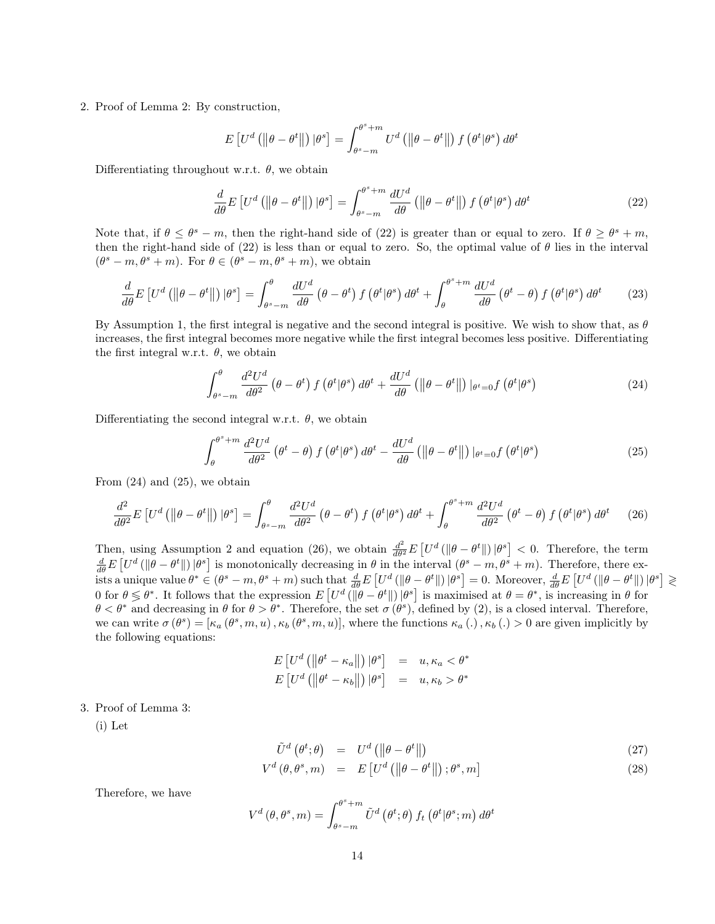2. Proof of Lemma 2: By construction,

$$
E\left[U^d\left(\left\|\theta-\theta^t\right\|\right)|\theta^s\right]=\int_{\theta^s-m}^{\theta^s+m}U^d\left(\left\|\theta-\theta^t\right\|\right)f\left(\theta^t|\theta^s\right)d\theta^t
$$

Differentiating throughout w.r.t.  $\theta$ , we obtain

$$
\frac{d}{d\theta}E\left[U^d\left(\left\|\theta-\theta^t\right\|\right)|\theta^s\right] = \int_{\theta^s-m}^{\theta^s+m} \frac{dU^d}{d\theta}\left(\left\|\theta-\theta^t\right\|\right) f\left(\theta^t|\theta^s\right) d\theta^t
$$
\n(22)

Note that, if  $\theta \leq \theta^s - m$ , then the right-hand side of (22) is greater than or equal to zero. If  $\theta \geq \theta^s + m$ , then the right-hand side of (22) is less than or equal to zero. So, the optimal value of  $\theta$  lies in the interval  $(\theta^s - m, \theta^s + m)$ . For  $\theta \in (\theta^s - m, \theta^s + m)$ , we obtain

$$
\frac{d}{d\theta}E\left[U^d\left(\left\|\theta-\theta^t\right\|\right)|\theta^s\right] = \int_{\theta^s-m}^{\theta} \frac{dU^d}{d\theta} \left(\theta-\theta^t\right) f\left(\theta^t|\theta^s\right) d\theta^t + \int_{\theta}^{\theta^s+m} \frac{dU^d}{d\theta} \left(\theta^t-\theta\right) f\left(\theta^t|\theta^s\right) d\theta^t \tag{23}
$$

By Assumption 1, the first integral is negative and the second integral is positive. We wish to show that, as  $\theta$ increases, the first integral becomes more negative while the first integral becomes less positive. Differentiating the first integral w.r.t.  $\theta$ , we obtain

$$
\int_{\theta^s - m}^{\theta} \frac{d^2 U^d}{d\theta^2} \left( \theta - \theta^t \right) f \left( \theta^t | \theta^s \right) d\theta^t + \frac{dU^d}{d\theta} \left( \left\| \theta - \theta^t \right\| \right) \left|_{\theta^t = 0} f \left( \theta^t | \theta^s \right) \right)
$$
(24)

Differentiating the second integral w.r.t.  $\theta$ , we obtain

$$
\int_{\theta}^{\theta^s+m} \frac{d^2 U^d}{d\theta^2} \left(\theta^t - \theta\right) f\left(\theta^t|\theta^s\right) d\theta^t - \frac{dU^d}{d\theta} \left(\left\|\theta - \theta^t\right\|\right) |_{\theta^t=0} f\left(\theta^t|\theta^s\right) \tag{25}
$$

From  $(24)$  and  $(25)$ , we obtain

$$
\frac{d^2}{d\theta^2} E\left[U^d\left(\left\|\theta-\theta^t\right\|\right)|\theta^s\right] = \int_{\theta^s-m}^{\theta} \frac{d^2 U^d}{d\theta^2} \left(\theta-\theta^t\right) f\left(\theta^t|\theta^s\right) d\theta^t + \int_{\theta}^{\theta^s+m} \frac{d^2 U^d}{d\theta^2} \left(\theta^t-\theta\right) f\left(\theta^t|\theta^s\right) d\theta^t \tag{26}
$$

Then, using Assumption 2 and equation (26), we obtain  $\frac{d^2}{d\theta^2} E \left[ U^d \left( \|\theta - \theta^t\| \right) |\theta^s \right] < 0$ . Therefore, the term  $\frac{d}{d\theta}E\left[U^d(\|\theta-\theta^t\|)|\theta^s\right]$  is monotonically decreasing in  $\theta$  in the interval  $(\theta^s-m,\theta^s+m)$ . Therefore, there exists a unique value  $\theta^* \in (\theta^s - m, \theta^s + m)$  such that  $\frac{d}{d\theta}E\left[U^d(\|\theta - \theta^t\|) |\theta^s\right] = 0$ . Moreover,  $\frac{d}{d\theta}E\left[U^d(\|\theta - \theta^t\|) |\theta^s\right] \ge$ 0 for  $\theta \leq \theta^*$ . It follows that the expression  $E\left[ U^d\left( \|\theta - \theta^t\| \right) |\theta^s \right]$  is maximised at  $\theta = \theta^*$ , is increasing in  $\theta$  for  $\theta < \theta^*$  and decreasing in  $\theta$  for  $\theta > \theta^*$ . Therefore, the set  $\sigma(\theta^s)$ , defined by (2), is a closed interval. Therefore, we can write  $\sigma(\theta^s) = [\kappa_a(\theta^s, m, u), \kappa_b(\theta^s, m, u)]$ , where the functions  $\kappa_a(.)$ ,  $\kappa_b(.) > 0$  are given implicitly by the following equations:

$$
E\left[U^d\left(\left\|\theta^t - \kappa_a\right\|\right)|\theta^s\right] = u, \kappa_a < \theta^*
$$
\n
$$
E\left[U^d\left(\left\|\theta^t - \kappa_b\right\|\right)|\theta^s\right] = u, \kappa_b > \theta^*
$$

#### 3. Proof of Lemma 3:

(i) Let

$$
\tilde{U}^{d}(\theta^{t};\theta) = U^{d}(\|\theta - \theta^{t}\|)
$$
\n(27)

$$
V^{d}(\theta, \theta^{s}, m) = E\left[U^{d}(\|\theta - \theta^{t}\|); \theta^{s}, m\right]
$$
\n(28)

Therefore, we have

$$
V^{d}(\theta, \theta^{s}, m) = \int_{\theta^{s} - m}^{\theta^{s} + m} \tilde{U}^{d}(\theta^{t}; \theta) f_{t}(\theta^{t} | \theta^{s}; m) d\theta^{t}
$$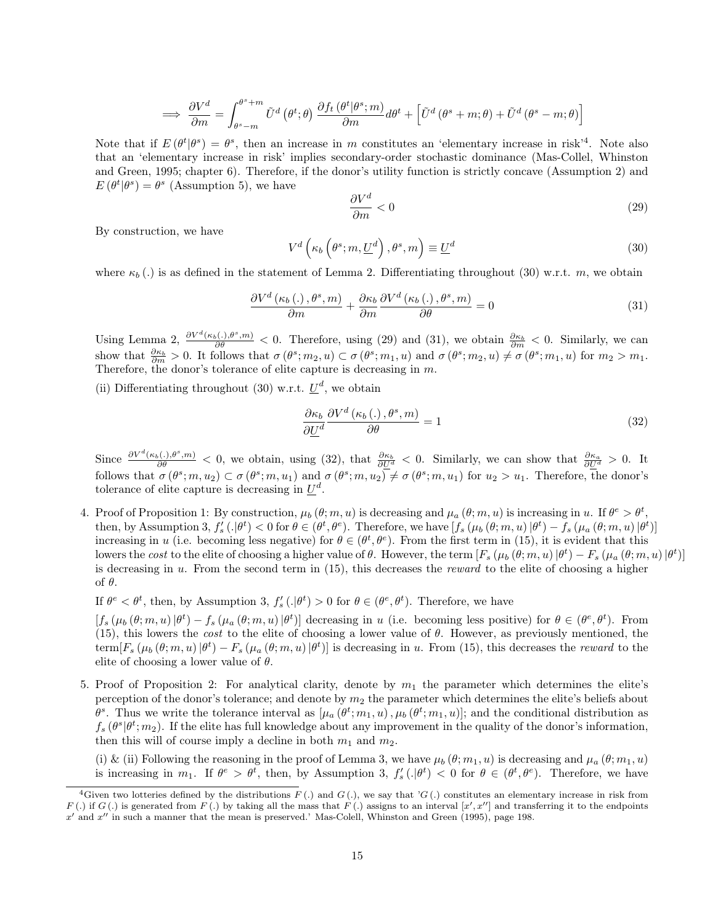$$
\implies \frac{\partial V^d}{\partial m} = \int_{\theta^s - m}^{\theta^s + m} \tilde{U}^d (\theta^t; \theta) \frac{\partial f_t (\theta^t | \theta^s; m)}{\partial m} d\theta^t + \left[ \tilde{U}^d (\theta^s + m; \theta) + \tilde{U}^d (\theta^s - m; \theta) \right]
$$

Note that if  $E(\theta^t|\theta^s) = \theta^s$ , then an increase in m constitutes an 'elementary increase in risk'<sup>4</sup>. Note also that an 'elementary increase in risk' implies secondary-order stochastic dominance (Mas-Collel, Whinston and Green, 1995; chapter 6). Therefore, if the donor's utility function is strictly concave (Assumption 2) and  $E(\theta^t|\theta^s) = \theta^s$  (Assumption 5), we have

$$
\frac{\partial V^d}{\partial m} < 0 \tag{29}
$$

i

By construction, we have

$$
V^d\left(\kappa_b\left(\theta^s; m, \underline{U}^d\right), \theta^s, m\right) \equiv \underline{U}^d \tag{30}
$$

where  $\kappa_b$  (.) is as defined in the statement of Lemma 2. Differentiating throughout (30) w.r.t. m, we obtain

$$
\frac{\partial V^d\left(\kappa_b\left(\cdot\right),\theta^s,m\right)}{\partial m} + \frac{\partial \kappa_b}{\partial m} \frac{\partial V^d\left(\kappa_b\left(\cdot\right),\theta^s,m\right)}{\partial \theta} = 0\tag{31}
$$

Using Lemma 2,  $\frac{\partial V^d(\kappa_b(.),\theta^s,m)}{\partial \theta} < 0$ . Therefore, using (29) and (31), we obtain  $\frac{\partial \kappa_b}{\partial m} < 0$ . Similarly, we can show that  $\frac{\partial \kappa_b}{\partial m} > 0$ . It follows that  $\sigma(\theta^s; m_2, u) \subset \sigma(\theta^s; m_1, u)$  and  $\sigma(\theta^s; m_2, u) \neq \sigma(\theta^s; m_1, u)$  for  $m_2 > m_1$ . Therefore, the donor's tolerance of elite capture is decreasing in m.

(ii) Differentiating throughout (30) w.r.t.  $\underline{U}^d$ , we obtain

$$
\frac{\partial \kappa_b}{\partial \underline{U}^d} \frac{\partial V^d(\kappa_b(.), \theta^s, m)}{\partial \theta} = 1
$$
\n(32)

Since  $\frac{\partial V^d(\kappa_b(.),\theta^s,m)}{\partial \theta} < 0$ , we obtain, using (32), that  $\frac{\partial \kappa_b}{\partial U^d} < 0$ . Similarly, we can show that  $\frac{\partial \kappa_a}{\partial U^d} > 0$ . It follows that  $\sigma(\theta^s; m, u_2) \subset \sigma(\theta^s; m, u_1)$  and  $\sigma(\theta^s; m, u_2) \neq \sigma(\theta^s; m, u_1)$  for  $u_2 > u_1$ . Therefore, the donor's tolerance of elite capture is decreasing in  $U^d$ .

4. Proof of Proposition 1: By construction,  $\mu_b(\theta; m, u)$  is decreasing and  $\mu_a(\theta; m, u)$  is increasing in u. If  $\theta^e > \theta^t$ , then, by Assumption 3,  $f'_s(.|\theta^t) < 0$  for  $\theta \in (\theta^t, \theta^e)$ . Therefore, we have  $[f_s(\mu_b(\theta; m, u)|\theta^t) - f_s(\mu_a(\theta; m, u)|\theta^t)]$ increasing in u (i.e. becoming less negative) for  $\theta \in (\theta^t, \theta^e)$ . From the first term in (15), it is evident that this lowers the *cost* to the elite of choosing a higher value of  $\theta$ . However, the term  $[F_s (\mu_b (\theta; m, u) | \theta^t) - F_s (\mu_a (\theta; m, u) | \theta^t)]$ is decreasing in  $u$ . From the second term in (15), this decreases the *reward* to the elite of choosing a higher of θ.

If  $\theta^e < \theta^t$ , then, by Assumption 3,  $f'_s(.|\theta^t) > 0$  for  $\theta \in (\theta^e, \theta^t)$ . Therefore, we have

 $[f_s(\mu_b(\theta; m, u)|\theta^t) - f_s(\mu_a(\theta; m, u)|\theta^t)]$  decreasing in u (i.e. becoming less positive) for  $\theta \in (\theta^e, \theta^t)$ . From (15), this lowers the *cost* to the elite of choosing a lower value of  $\theta$ . However, as previously mentioned, the term $[F_s(\mu_b(\theta; m, u)|\theta^t) - F_s(\mu_a(\theta; m, u)|\theta^t)]$  is decreasing in u. From (15), this decreases the reward to the elite of choosing a lower value of  $\theta$ .

5. Proof of Proposition 2: For analytical clarity, denote by  $m_1$  the parameter which determines the elite's perception of the donor's tolerance; and denote by  $m_2$  the parameter which determines the elite's beliefs about  $\theta^s$ . Thus we write the tolerance interval as  $[\mu_a(\theta^t; m_1, u), \mu_b(\theta^t; m_1, u)]$ ; and the conditional distribution as  $f_s(\theta^s|\theta^t;m_2)$ . If the elite has full knowledge about any improvement in the quality of the donor's information, then this will of course imply a decline in both  $m_1$  and  $m_2$ .

(i) & (ii) Following the reasoning in the proof of Lemma 3, we have  $\mu_b (\theta; m_1, u)$  is decreasing and  $\mu_a (\theta; m_1, u)$ is increasing in  $m_1$ . If  $\theta^e > \theta^t$ , then, by Assumption 3,  $f'_s(.|\theta^t) < 0$  for  $\theta \in (\theta^t, \theta^e)$ . Therefore, we have

<sup>&</sup>lt;sup>4</sup>Given two lotteries defined by the distributions  $F(.)$  and  $G(.)$ , we say that ' $G(.)$  constitutes an elementary increase in risk from  $F(.)$  if  $G(.)$  is generated from  $F(.)$  by taking all the mass that  $F(.)$  assigns to an interval  $[x', x'']$  and transferring it to the endpoints  $x'$  and  $x''$  in such a manner that the mean is preserved.' Mas-Colell, Whinston and Green (1995), page 198.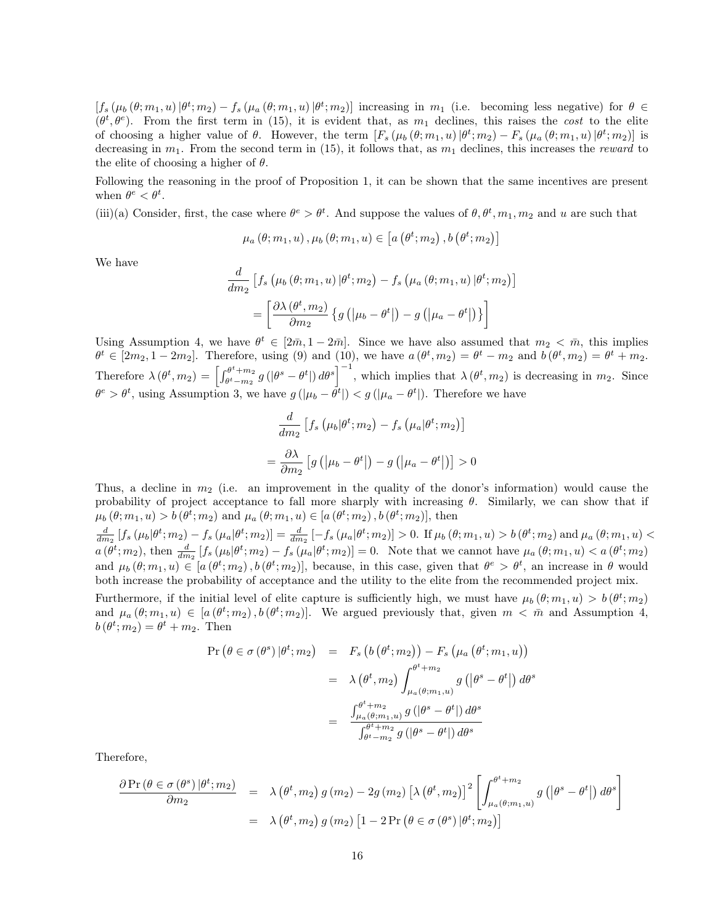$[f_s(\mu_b(\theta; m_1, u)|\theta^t; m_2) - f_s(\mu_a(\theta; m_1, u)|\theta^t; m_2)]$  increasing in  $m_1$  (i.e. becoming less negative) for  $\theta \in$  $(\theta^t, \theta^e)$ . From the first term in (15), it is evident that, as  $m_1$  declines, this raises the *cost* to the elite of choosing a higher value of  $\theta$ . However, the term  $[F_s (\mu_b (\theta; m_1, u) | \theta^t; m_2) - F_s (\mu_a (\theta; m_1, u) | \theta^t; m_2)]$  is decreasing in  $m_1$ . From the second term in (15), it follows that, as  $m_1$  declines, this increases the reward to the elite of choosing a higher of  $\theta$ .

Following the reasoning in the proof of Proposition 1, it can be shown that the same incentives are present when  $\theta^e < \theta^t$ .

(iii)(a) Consider, first, the case where  $\theta^e > \theta^t$ . And suppose the values of  $\theta, \theta^t, m_1, m_2$  and u are such that

$$
\mu_a(\theta; m_1, u), \mu_b(\theta; m_1, u) \in [a(\theta^t; m_2), b(\theta^t; m_2)]
$$

We have

$$
\frac{d}{dm_2} \left[ f_s \left( \mu_b \left( \theta; m_1, u \right) | \theta^t; m_2 \right) - f_s \left( \mu_a \left( \theta; m_1, u \right) | \theta^t; m_2 \right) \right]
$$
\n
$$
= \left[ \frac{\partial \lambda \left( \theta^t, m_2 \right)}{\partial m_2} \left\{ g \left( \left| \mu_b - \theta^t \right| \right) - g \left( \left| \mu_a - \theta^t \right| \right) \right\} \right]
$$

Using Assumption 4, we have  $\theta^t \in [2\bar{m}, 1 - 2\bar{m}]$ . Since we have also assumed that  $m_2 < \bar{m}$ , this implies  $\theta^t \in [2m_2, 1-2m_2]$ . Therefore, using (9) and (10), we have  $a(\theta^t, m_2) = \theta^t - m_2$  and  $b(\theta^t, m_2) = \theta^t + m_2$ . Therefore  $\lambda(\theta^t, m_2) = \left[\int_{\theta^t = m_2}^{\theta^t + m_2}$  $\left[\theta^{t+m_{2}}_{\theta^{t}-m_{2}}g\left(\left|\theta^{s}-\theta^{t}\right|\right)d\theta^{s}\right]^{-1}$ , which implies that  $\lambda(\theta^{t},m_{2})$  is decreasing in  $m_{2}$ . Since  $\theta^e > \theta^t$ , using Assumption 3, we have  $g(|\mu_b - \bar{\theta}^t|) < g(|\mu_a - \theta^t|)$ . Therefore we have

$$
\frac{d}{dm_2} \left[ f_s \left( \mu_b | \theta^t; m_2 \right) - f_s \left( \mu_a | \theta^t; m_2 \right) \right]
$$

$$
= \frac{\partial \lambda}{\partial m_2} \left[ g \left( \left| \mu_b - \theta^t \right| \right) - g \left( \left| \mu_a - \theta^t \right| \right) \right] > 0
$$

Thus, a decline in  $m_2$  (i.e. an improvement in the quality of the donor's information) would cause the probability of project acceptance to fall more sharply with increasing  $\theta$ . Similarly, we can show that if  $\mu_b(\theta; m_1, u) > b(\theta^t; m_2)$  and  $\mu_a(\theta; m_1, u) \in [a(\theta^t; m_2), b(\theta^t; m_2)],$  then

 $\frac{d}{dm_2}[f_s(\mu_b|\theta^t;m_2)-f_s(\mu_a|\theta^t;m_2)]=\frac{d}{dm_2}[-f_s(\mu_a|\theta^t;m_2)]>0.$  If  $\mu_b(\theta;m_1,u)>b(\theta^t;m_2)$  and  $\mu_a(\theta;m_1,u)<$  $a(\theta^t; m_2)$ , then  $\frac{d}{dm_2} [f_s(\mu_b|\theta^t; m_2) - f_s(\mu_a|\theta^t; m_2)] = 0$ . Note that we cannot have  $\mu_a(\theta; m_1, u) < a(\theta^t; m_2)$ and  $\mu_b(\theta; m_1, u) \in [a(\theta^t; m_2), b(\theta^t; m_2)]$ , because, in this case, given that  $\theta^e > \theta^t$ , an increase in  $\theta$  would both increase the probability of acceptance and the utility to the elite from the recommended project mix.

Furthermore, if the initial level of elite capture is sufficiently high, we must have  $\mu_b(\theta; m_1, u) > b(\theta^t; m_2)$ and  $\mu_a(\theta; m_1, u) \in [a(\theta^t; m_2), b(\theta^t; m_2)]$ . We argued previously that, given  $m < \bar{m}$  and Assumption 4,  $b(\theta^t; m_2) = \theta^t + m_2$ . Then

$$
\Pr\left(\theta \in \sigma\left(\theta^{s}\right)|\theta^{t}; m_{2}\right) = F_{s}\left(b\left(\theta^{t}; m_{2}\right)\right) - F_{s}\left(\mu_{a}\left(\theta^{t}; m_{1}, u\right)\right)
$$
\n
$$
= \lambda\left(\theta^{t}, m_{2}\right) \int_{\mu_{a}\left(\theta; m_{1}, u\right)}^{\theta^{t} + m_{2}} g\left(\left|\theta^{s} - \theta^{t}\right|\right) d\theta^{s}
$$
\n
$$
= \frac{\int_{\mu_{a}\left(\theta; m_{1}, u\right)}^{\theta^{t} + m_{2}} g\left(\left|\theta^{s} - \theta^{t}\right|\right) d\theta^{s}}{\int_{\theta^{t} - m_{2}}^{\theta^{t} + m_{2}} g\left(\left|\theta^{s} - \theta^{t}\right|\right) d\theta^{s}}
$$

Therefore,

$$
\frac{\partial \Pr(\theta \in \sigma(\theta^s) | \theta^t; m_2)}{\partial m_2} = \lambda(\theta^t, m_2) g(m_2) - 2g(m_2) \left[\lambda(\theta^t, m_2)\right]^2 \left[\int_{\mu_a(\theta; m_1, u)}^{\theta^t + m_2} g\left(|\theta^s - \theta^t|\right) d\theta^s\right]
$$

$$
= \lambda(\theta^t, m_2) g(m_2) \left[1 - 2 \Pr(\theta \in \sigma(\theta^s) | \theta^t; m_2)\right]
$$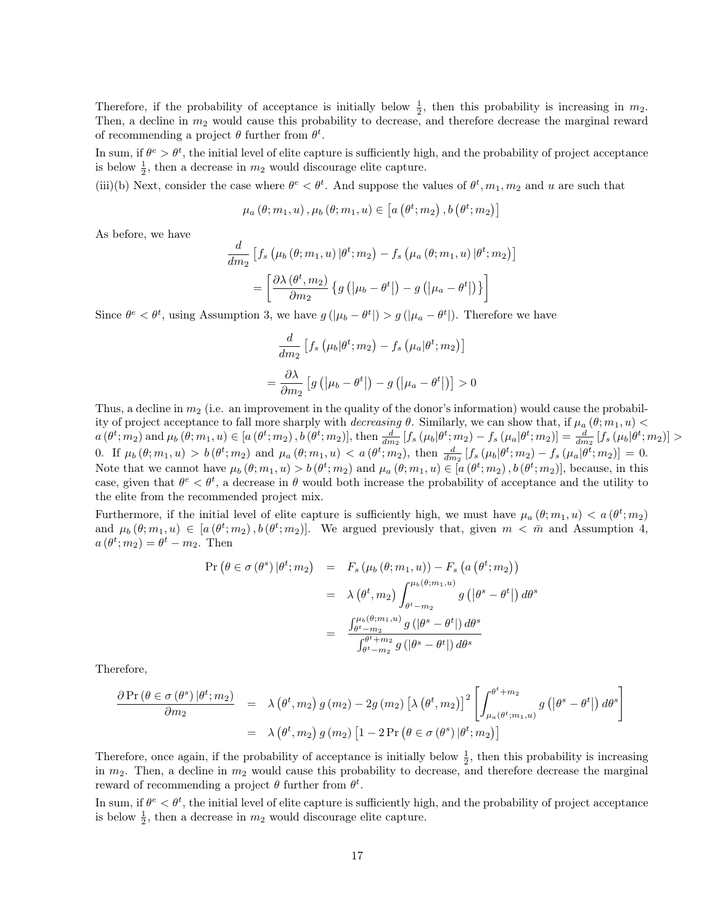Therefore, if the probability of acceptance is initially below  $\frac{1}{2}$ , then this probability is increasing in  $m_2$ . Then, a decline in  $m_2$  would cause this probability to decrease, and therefore decrease the marginal reward of recommending a project  $\theta$  further from  $\theta^t$ .

In sum, if  $\theta^e > \theta^t$ , the initial level of elite capture is sufficiently high, and the probability of project acceptance is below  $\frac{1}{2}$ , then a decrease in  $m_2$  would discourage elite capture.

(iii)(b) Next, consider the case where  $\theta^e < \theta^t$ . And suppose the values of  $\theta^t, m_1, m_2$  and u are such that

$$
\mu_a(\theta; m_1, u), \mu_b(\theta; m_1, u) \in [a(\theta^t; m_2), b(\theta^t; m_2)]
$$

As before, we have

$$
\frac{d}{dm_2} \left[ f_s \left( \mu_b \left( \theta; m_1, u \right) | \theta^t; m_2 \right) - f_s \left( \mu_a \left( \theta; m_1, u \right) | \theta^t; m_2 \right) \right]
$$
\n
$$
= \left[ \frac{\partial \lambda \left( \theta^t, m_2 \right)}{\partial m_2} \left\{ g \left( \left| \mu_b - \theta^t \right| \right) - g \left( \left| \mu_a - \theta^t \right| \right) \right\} \right]
$$

Since  $\theta^e < \theta^t$ , using Assumption 3, we have  $g(|\mu_b - \theta^t|) > g(|\mu_a - \theta^t|)$ . Therefore we have

=

$$
\frac{d}{dm_2} \left[ f_s \left( \mu_b | \theta^t; m_2 \right) - f_s \left( \mu_a | \theta^t; m_2 \right) \right]
$$

$$
= \frac{\partial \lambda}{\partial m_2} \left[ g \left( \left| \mu_b - \theta^t \right| \right) - g \left( \left| \mu_a - \theta^t \right| \right) \right] > 0
$$

Thus, a decline in  $m_2$  (i.e. an improvement in the quality of the donor's information) would cause the probability of project acceptance to fall more sharply with *decreasing*  $\theta$ . Similarly, we can show that, if  $\mu_a(\theta; m_1, u)$  $a(\theta^t; m_2)$  and  $\mu_b(\theta; m_1, u) \in [a(\theta^t; m_2), b(\theta^t; m_2)],$  then  $\frac{d}{dm_2}[f_s(\mu_b|\theta^t; m_2) - f_s(\mu_a|\theta^t; m_2)] = \frac{d}{dm_2}[f_s(\mu_b|\theta^t; m_2)] >$ 0. If  $\mu_b(\theta; m_1, u) > b(\theta^t; m_2)$  and  $\mu_a(\theta; m_1, u) < a(\theta^t; m_2)$ , then  $\frac{d}{dm_2}[f_s(\mu_b|\theta^t; m_2) - f_s(\mu_a|\theta^t; m_2)] = 0$ . Note that we cannot have  $\mu_b(\theta; m_1, u) > b(\theta^t; m_2)$  and  $\mu_a(\theta; m_1, u) \in [a(\theta^t; m_2), b(\theta^t; m_2)]$ , because, in this case, given that  $\theta^e < \theta^t$ , a decrease in  $\theta$  would both increase the probability of acceptance and the utility to the elite from the recommended project mix.

Furthermore, if the initial level of elite capture is sufficiently high, we must have  $\mu_a(\theta; m_1, u) < a(\theta^t; m_2)$ and  $\mu_b(\theta; m_1, u) \in [a(\theta^t; m_2), b(\theta^t; m_2)]$ . We argued previously that, given  $m < \bar{m}$  and Assumption 4,  $a(\theta^t; m_2) = \theta^t - m_2$ . Then

$$
\Pr\left(\theta \in \sigma\left(\theta^{s}\right) | \theta^{t}; m_{2}\right) = F_{s}\left(\mu_{b}\left(\theta; m_{1}, u\right)\right) - F_{s}\left(a\left(\theta^{t}; m_{2}\right)\right)
$$
\n
$$
= \lambda\left(\theta^{t}, m_{2}\right) \int_{\theta^{t} - m_{2}}^{\mu_{b}\left(\theta; m_{1}, u\right)} g\left(\left|\theta^{s} - \theta^{t}\right|\right) d\theta^{s}
$$
\n
$$
= \frac{\int_{\theta^{t} - m_{2}}^{\mu_{b}\left(\theta; m_{1}, u\right)} g\left(\left|\theta^{s} - \theta^{t}\right|\right) d\theta^{s}}{\int_{\theta^{t} - m_{2}}^{\theta^{t} + m_{2}} g\left(\left|\theta^{s} - \theta^{t}\right|\right) d\theta^{s}}
$$

Therefore,

$$
\frac{\partial \Pr(\theta \in \sigma(\theta^s) | \theta^t; m_2)}{\partial m_2} = \lambda(\theta^t, m_2) g(m_2) - 2g(m_2) [\lambda(\theta^t, m_2)]^2 \left[ \int_{\mu_a(\theta^t; m_1, u)}^{\theta^t + m_2} g(|\theta^s - \theta^t|) d\theta^s \right]
$$

$$
= \lambda(\theta^t, m_2) g(m_2) [1 - 2 \Pr(\theta \in \sigma(\theta^s) | \theta^t; m_2)]
$$

Therefore, once again, if the probability of acceptance is initially below  $\frac{1}{2}$ , then this probability is increasing in  $m_2$ . Then, a decline in  $m_2$  would cause this probability to decrease, and therefore decrease the marginal reward of recommending a project  $\theta$  further from  $\theta^t$ .

In sum, if  $\theta^e < \theta^t$ , the initial level of elite capture is sufficiently high, and the probability of project acceptance is below  $\frac{1}{2}$ , then a decrease in  $m_2$  would discourage elite capture.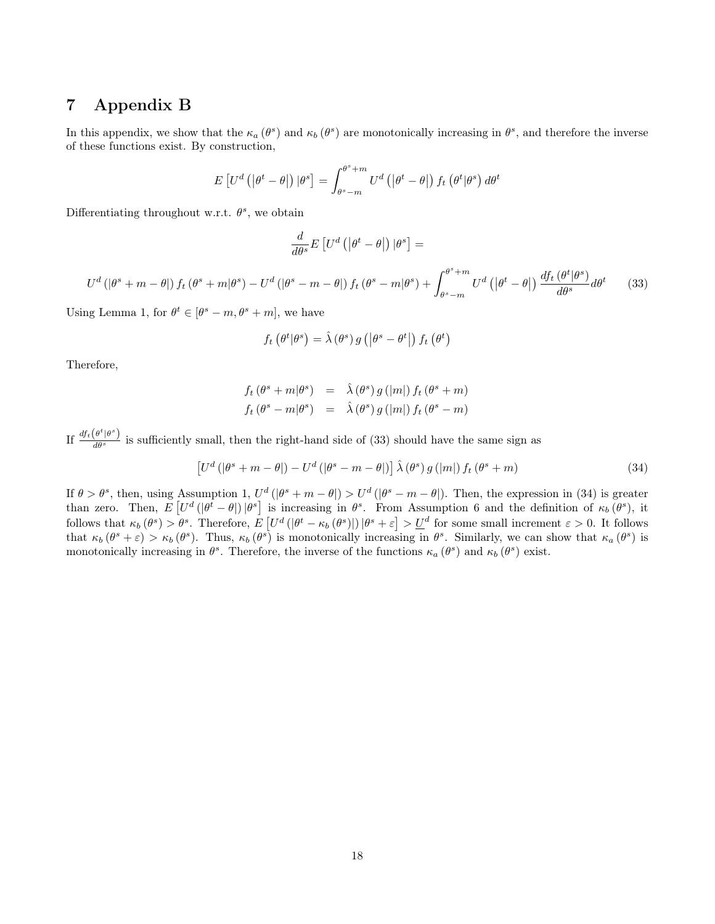# 7 Appendix B

In this appendix, we show that the  $\kappa_a (\theta^s)$  and  $\kappa_b (\theta^s)$  are monotonically increasing in  $\theta^s$ , and therefore the inverse of these functions exist. By construction,

$$
E\left[U^d\left(\left|\theta^t-\theta\right|\right)|\theta^s\right]=\int_{\theta^s-m}^{\theta^s+m}U^d\left(\left|\theta^t-\theta\right|\right)f_t\left(\theta^t|\theta^s\right)d\theta^t
$$

Differentiating throughout w.r.t.  $\theta^s$ , we obtain

$$
\frac{d}{d\theta^{s}}E\left[U^d\left(\left|\theta^{t}-\theta\right|\right)|\theta^{s}\right]=
$$

 $U^{d}\left( \left\vert \theta^{s}+m-\theta\right\vert \right) f_{t}\left( \theta^{s}+m|\theta^{s} \right) -U^{d}\left( \left\vert \theta^{s}-m-\theta\right\vert \right) f_{t}\left( \theta^{s}-m|\theta^{s} \right) +\int^{\theta^{s}+m}% \left\vert \theta^{s}-m-\theta\right\vert ^{s}\left( \left\vert \theta^{s}-m-\theta\right\vert \right) f_{t}\left( \theta^{s}-m|\theta^{s} \right) \right\vert ^{s}$  $\theta^s-m$  $U^d\left(\left|\theta^t-\theta\right|\right)\frac{df_t\left(\theta^t|\theta^s\right)}{d\theta^s}$  $\frac{\partial (u||\theta)}{\partial \theta^s} d\theta^t$ (33)

Using Lemma 1, for  $\theta^t \in [\theta^s - m, \theta^s + m]$ , we have

$$
f_t\left(\theta^t|\theta^s\right) = \hat{\lambda}\left(\theta^s\right)g\left(\left|\theta^s - \theta^t\right|\right)f_t\left(\theta^t\right)
$$

Therefore,

$$
f_t (\theta^s + m | \theta^s) = \hat{\lambda} (\theta^s) g(|m|) f_t (\theta^s + m)
$$
  

$$
f_t (\theta^s - m | \theta^s) = \hat{\lambda} (\theta^s) g(|m|) f_t (\theta^s - m)
$$

If  $\frac{df_t(\theta^t|\theta^s)}{d\theta^s}$  is sufficiently small, then the right-hand side of (33) should have the same sign as

$$
\left[U^d\left(|\theta^s + m - \theta|\right) - U^d\left(|\theta^s - m - \theta|\right)\right] \hat{\lambda}\left(\theta^s\right)g\left(|m|\right) f_t\left(\theta^s + m\right) \tag{34}
$$

If  $\theta > \theta^s$ , then, using Assumption 1,  $U^d$  ( $|\theta^s + m - \theta|$ )  $> U^d$  ( $|\theta^s - m - \theta|$ ). Then, the expression in (34) is greater than zero. Then,  $E\left[ U^d\left( \left|\theta^t - \theta\right| \right) \left|\theta^s \right|$  is increasing in  $\theta^s$ . From Assumption 6 and the definition of  $\kappa_b(\theta^s)$ , it follows that  $\kappa_b(\theta^s) > \theta^s$ . Therefore,  $E\left[ U^d\left( |\theta^t - \kappa_b(\theta^s)| \right) |\theta^s + \varepsilon \right] > \underline{U}^d$  for some small increment  $\varepsilon > 0$ . It follows that  $\kappa_b(\theta^s + \varepsilon) > \kappa_b(\theta^s)$ . Thus,  $\kappa_b(\theta^s)$  is monotonically increasing in  $\theta^s$ . Similarly, we can show that  $\kappa_a(\theta^s)$  is monotonically increasing in  $\theta^s$ . Therefore, the inverse of the functions  $\kappa_a(\theta^s)$  and  $\kappa_b(\theta^s)$  exist.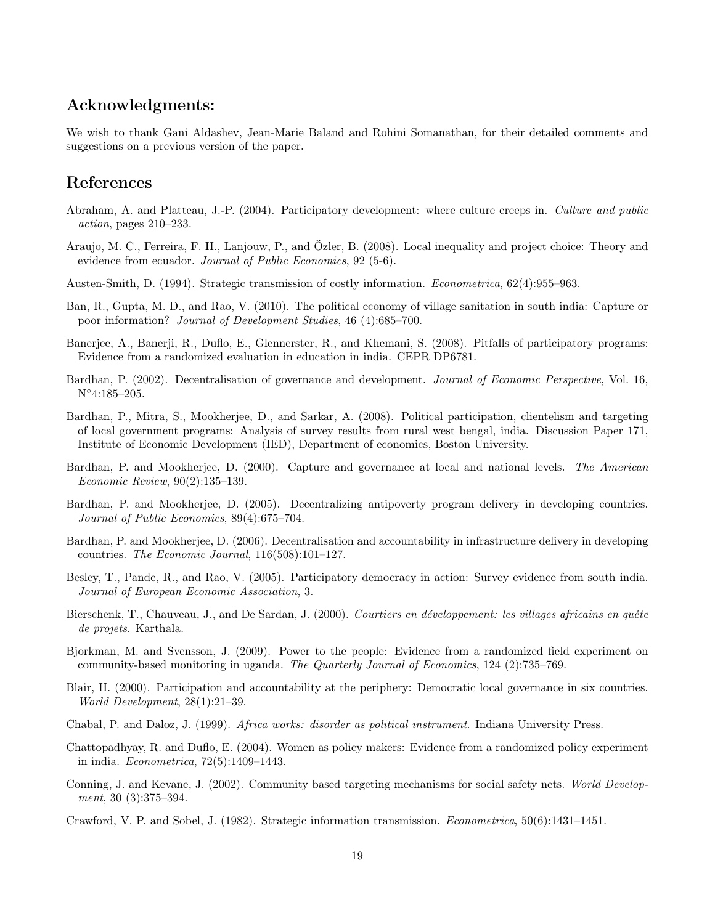# Acknowledgments:

We wish to thank Gani Aldashev, Jean-Marie Baland and Rohini Somanathan, for their detailed comments and suggestions on a previous version of the paper.

# References

- Abraham, A. and Platteau, J.-P. (2004). Participatory development: where culture creeps in. Culture and public action, pages 210–233.
- Araujo, M. C., Ferreira, F. H., Lanjouw, P., and Özler, B. (2008). Local inequality and project choice: Theory and evidence from ecuador. Journal of Public Economics, 92 (5-6).
- Austen-Smith, D. (1994). Strategic transmission of costly information. Econometrica, 62(4):955–963.
- Ban, R., Gupta, M. D., and Rao, V. (2010). The political economy of village sanitation in south india: Capture or poor information? Journal of Development Studies, 46 (4):685–700.
- Banerjee, A., Banerji, R., Duflo, E., Glennerster, R., and Khemani, S. (2008). Pitfalls of participatory programs: Evidence from a randomized evaluation in education in india. CEPR DP6781.
- Bardhan, P. (2002). Decentralisation of governance and development. *Journal of Economic Perspective*, Vol. 16,  $N°4:185–205.$
- Bardhan, P., Mitra, S., Mookherjee, D., and Sarkar, A. (2008). Political participation, clientelism and targeting of local government programs: Analysis of survey results from rural west bengal, india. Discussion Paper 171, Institute of Economic Development (IED), Department of economics, Boston University.
- Bardhan, P. and Mookherjee, D. (2000). Capture and governance at local and national levels. The American Economic Review, 90(2):135–139.
- Bardhan, P. and Mookherjee, D. (2005). Decentralizing antipoverty program delivery in developing countries. Journal of Public Economics, 89(4):675–704.
- Bardhan, P. and Mookherjee, D. (2006). Decentralisation and accountability in infrastructure delivery in developing countries. The Economic Journal, 116(508):101–127.
- Besley, T., Pande, R., and Rao, V. (2005). Participatory democracy in action: Survey evidence from south india. Journal of European Economic Association, 3.
- Bierschenk, T., Chauveau, J., and De Sardan, J. (2000). Courtiers en développement: les villages africains en quête de projets. Karthala.
- Bjorkman, M. and Svensson, J. (2009). Power to the people: Evidence from a randomized field experiment on community-based monitoring in uganda. The Quarterly Journal of Economics, 124 (2):735–769.
- Blair, H. (2000). Participation and accountability at the periphery: Democratic local governance in six countries. World Development, 28(1):21–39.
- Chabal, P. and Daloz, J. (1999). Africa works: disorder as political instrument. Indiana University Press.
- Chattopadhyay, R. and Duflo, E. (2004). Women as policy makers: Evidence from a randomized policy experiment in india. Econometrica, 72(5):1409–1443.
- Conning, J. and Kevane, J. (2002). Community based targeting mechanisms for social safety nets. World Development, 30 (3):375–394.
- Crawford, V. P. and Sobel, J. (1982). Strategic information transmission. Econometrica, 50(6):1431–1451.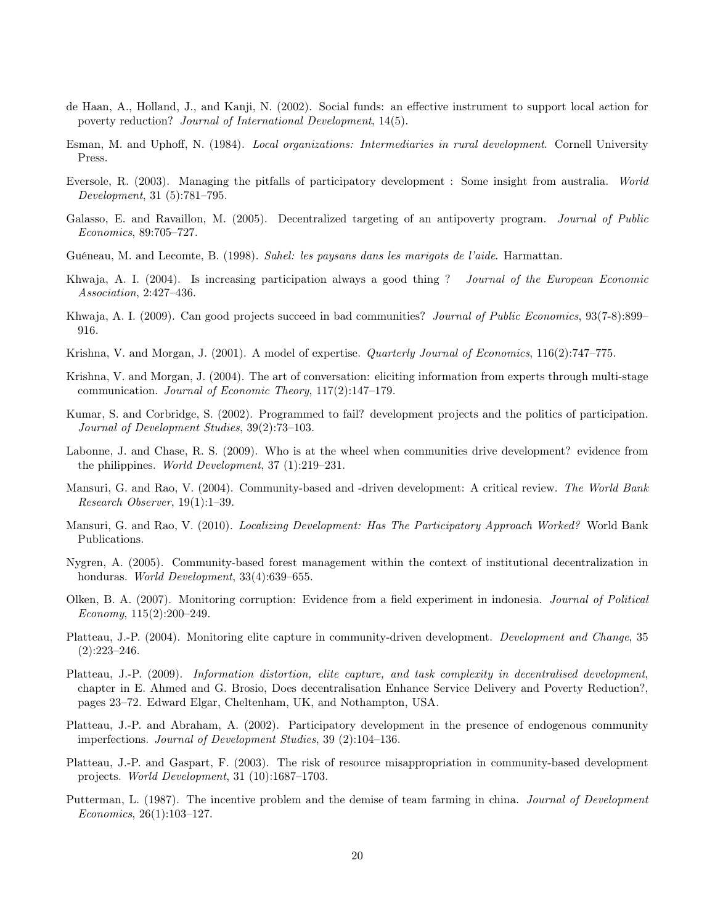- de Haan, A., Holland, J., and Kanji, N. (2002). Social funds: an effective instrument to support local action for poverty reduction? Journal of International Development, 14(5).
- Esman, M. and Uphoff, N. (1984). Local organizations: Intermediaries in rural development. Cornell University Press.
- Eversole, R. (2003). Managing the pitfalls of participatory development : Some insight from australia. World Development, 31 (5):781–795.
- Galasso, E. and Ravaillon, M. (2005). Decentralized targeting of an antipoverty program. Journal of Public Economics, 89:705–727.
- Guéneau, M. and Lecomte, B. (1998). Sahel: les paysans dans les marigots de l'aide. Harmattan.
- Khwaja, A. I. (2004). Is increasing participation always a good thing ? Journal of the European Economic Association, 2:427–436.
- Khwaja, A. I. (2009). Can good projects succeed in bad communities? *Journal of Public Economics*, 93(7-8):899– 916.
- Krishna, V. and Morgan, J. (2001). A model of expertise. *Quarterly Journal of Economics*, 116(2):747–775.
- Krishna, V. and Morgan, J. (2004). The art of conversation: eliciting information from experts through multi-stage communication. Journal of Economic Theory, 117(2):147–179.
- Kumar, S. and Corbridge, S. (2002). Programmed to fail? development projects and the politics of participation. Journal of Development Studies, 39(2):73–103.
- Labonne, J. and Chase, R. S. (2009). Who is at the wheel when communities drive development? evidence from the philippines. World Development, 37 (1):219–231.
- Mansuri, G. and Rao, V. (2004). Community-based and -driven development: A critical review. The World Bank Research Observer, 19(1):1–39.
- Mansuri, G. and Rao, V. (2010). Localizing Development: Has The Participatory Approach Worked? World Bank Publications.
- Nygren, A. (2005). Community-based forest management within the context of institutional decentralization in honduras. World Development, 33(4):639–655.
- Olken, B. A. (2007). Monitoring corruption: Evidence from a field experiment in indonesia. Journal of Political Economy, 115(2):200–249.
- Platteau, J.-P. (2004). Monitoring elite capture in community-driven development. Development and Change, 35  $(2):223-246.$
- Platteau, J.-P. (2009). Information distortion, elite capture, and task complexity in decentralised development, chapter in E. Ahmed and G. Brosio, Does decentralisation Enhance Service Delivery and Poverty Reduction?, pages 23–72. Edward Elgar, Cheltenham, UK, and Nothampton, USA.
- Platteau, J.-P. and Abraham, A. (2002). Participatory development in the presence of endogenous community imperfections. Journal of Development Studies, 39 (2):104–136.
- Platteau, J.-P. and Gaspart, F. (2003). The risk of resource misappropriation in community-based development projects. World Development, 31 (10):1687–1703.
- Putterman, L. (1987). The incentive problem and the demise of team farming in china. Journal of Development Economics, 26(1):103–127.